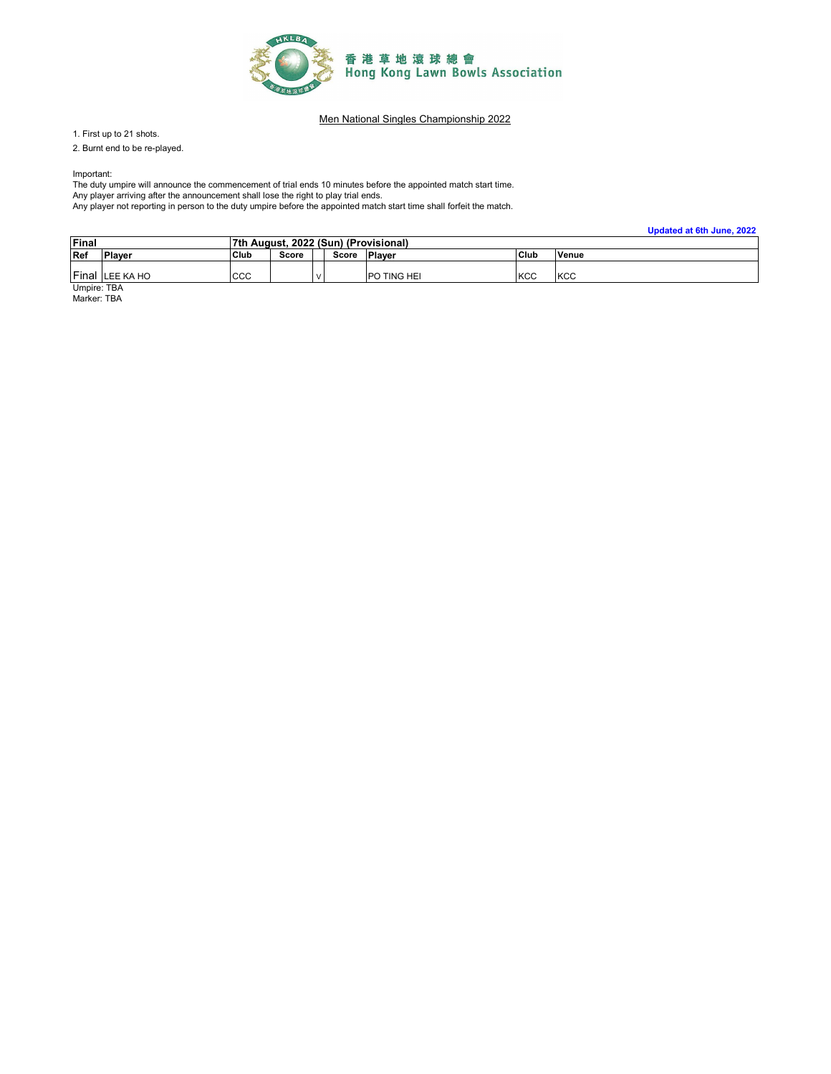

1. First up to 21 shots.

2. Burnt end to be re-played.

Important:

The duty umpire will announce the commencement of trial ends 10 minutes before the appointed match start time.

Any player arriving after the announcement shall lose the right to play trial ends. Any player not reporting in person to the duty umpire before the appointed match start time shall forfeit the match.

**Updated at 6th June, 2022**

| Final |               | 7th August, 2022 (Sun) (Provisional) |       |  |       |               |      |       |  |
|-------|---------------|--------------------------------------|-------|--|-------|---------------|------|-------|--|
| Ref   | <b>Player</b> | <b>Club</b>                          | Score |  | Score | <b>Player</b> | Club | Venue |  |
| Final | LEE KA HO     | CCC                                  |       |  |       | PO TING HEI   | KCC  | KCC   |  |

Umpire: TBA Marker: TBA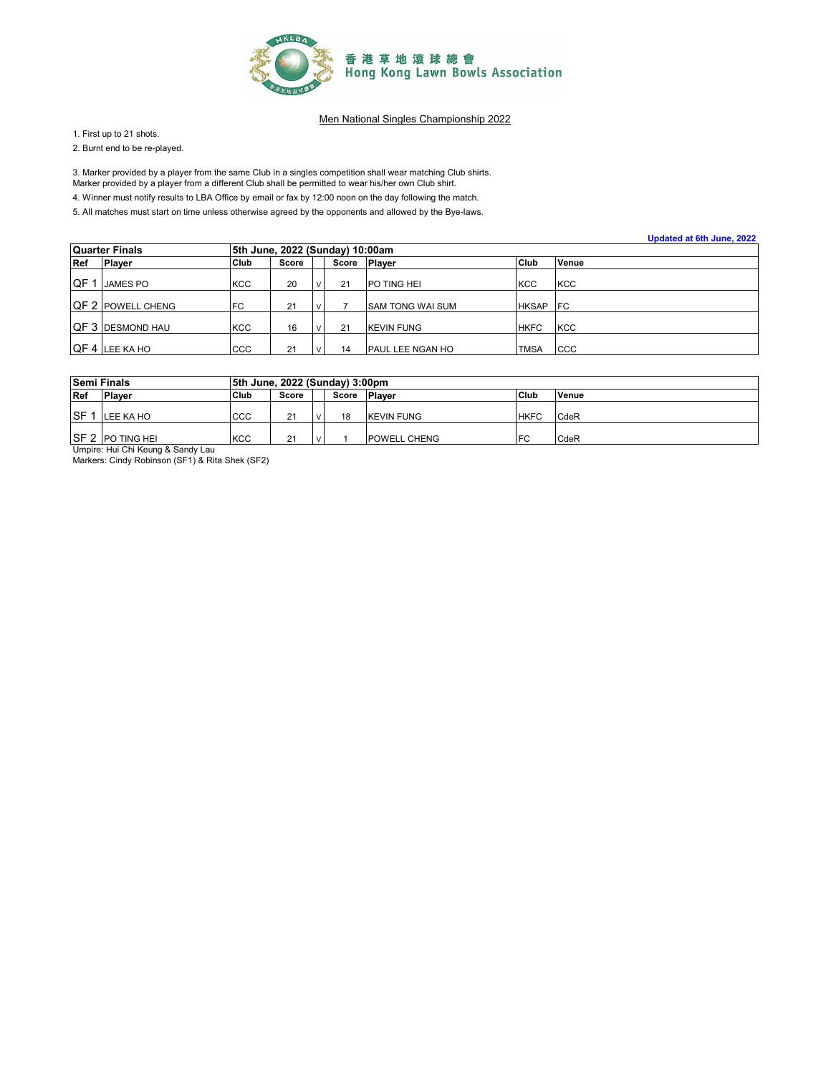

1. First up to 21 shots.

2. Burnt end to be re-played.

3. Marker provided by a player from the same Club in a singles competition shall wear matching Club shirts.

Marker provided by a player from a different Club shall be permitted to wear his/her own Club shirt.

4. Winner must notify results to LBA Office by email or fax by 12:00 noon on the day following the match.

|     |                          |                                 |       |  |    |                         |              | Updated at 6th June, 2022 |  |  |  |  |
|-----|--------------------------|---------------------------------|-------|--|----|-------------------------|--------------|---------------------------|--|--|--|--|
|     | <b>Quarter Finals</b>    | 5th June, 2022 (Sunday) 10:00am |       |  |    |                         |              |                           |  |  |  |  |
| Ref | <b>Player</b>            | Club                            | Score |  |    | Score Player            | Club         | Venue                     |  |  |  |  |
| QF. | <b>JAMES PO</b>          | <b>KCC</b>                      | 20    |  | 21 | <b>PO TING HEI</b>      | <b>KCC</b>   | <b>KCC</b>                |  |  |  |  |
|     | <b>QF 2 POWELL CHENG</b> | <b>FC</b>                       | 21    |  |    | <b>SAM TONG WAI SUM</b> | <b>HKSAP</b> | <b>IFC</b>                |  |  |  |  |
|     | <b>QF 3 DESMOND HAU</b>  | <b>KCC</b>                      | 16    |  | 21 | <b>KEVIN FUNG</b>       | <b>HKFC</b>  | <b>KCC</b>                |  |  |  |  |
|     | QF 4 LEE KA HO           | CCC                             | 21    |  | 14 | PAUL LEE NGAN HO        | <b>TMSA</b>  | <b>CCC</b>                |  |  |  |  |

| <b>Semi Finals</b>                |                                                                                   | 5th June, 2022 (Sunday) 3:00pm |       |  |       |                   |             |             |  |  |  |  |
|-----------------------------------|-----------------------------------------------------------------------------------|--------------------------------|-------|--|-------|-------------------|-------------|-------------|--|--|--|--|
| <b>Ref</b>                        | <b>Plaver</b>                                                                     | Club                           | Score |  | Score | <b>Plaver</b>     | Club        | Venue       |  |  |  |  |
|                                   |                                                                                   |                                |       |  |       |                   |             |             |  |  |  |  |
| SF <sub>1</sub>                   | LEE KA HO                                                                         | CCC                            | 21    |  | 18    | <b>KEVIN FUNG</b> | <b>HKFC</b> | <b>CdeR</b> |  |  |  |  |
|                                   |                                                                                   |                                |       |  |       |                   |             |             |  |  |  |  |
|                                   | <b>ISF 2 PO TING HEI</b><br><b>KCC</b><br>FC<br>CdeR<br>21<br><b>POWELL CHENG</b> |                                |       |  |       |                   |             |             |  |  |  |  |
| Umpire: Hui Chi Keung & Sandy Lau |                                                                                   |                                |       |  |       |                   |             |             |  |  |  |  |
|                                   | Markers: Cindy Robinson (SF1) & Rita Shek (SF2)                                   |                                |       |  |       |                   |             |             |  |  |  |  |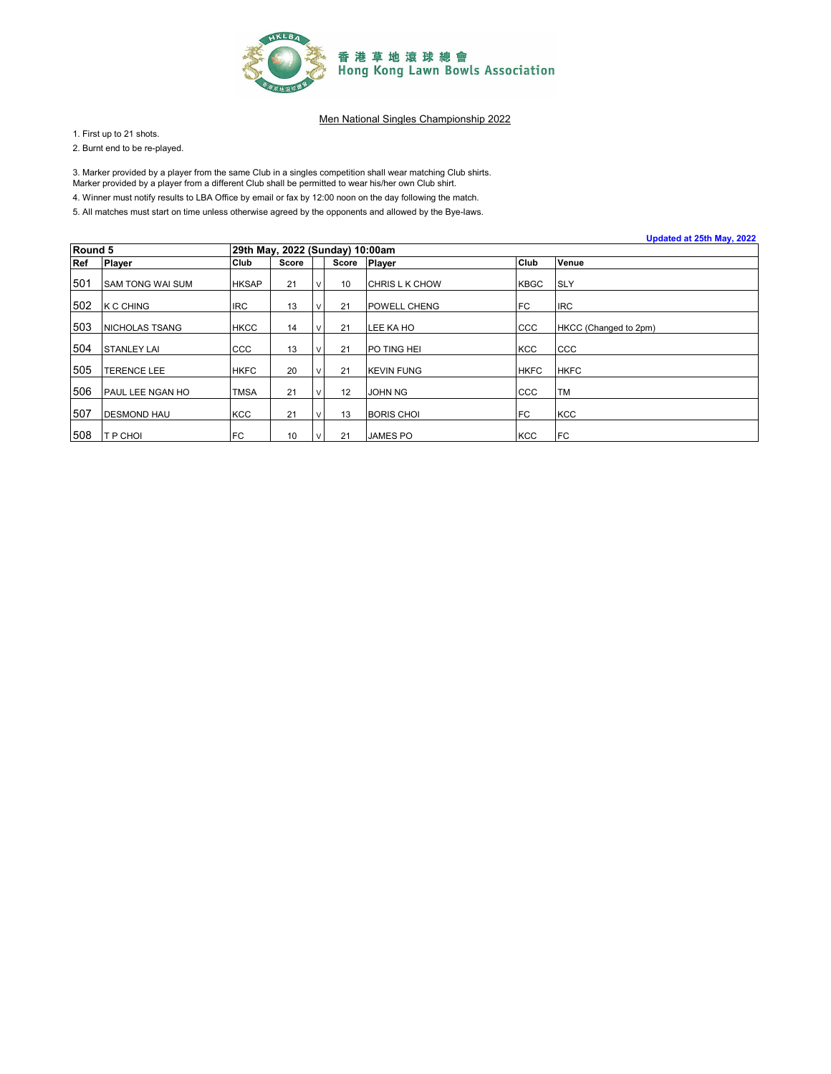

1. First up to 21 shots.

2. Burnt end to be re-played.

3. Marker provided by a player from the same Club in a singles competition shall wear matching Club shirts.

Marker provided by a player from a different Club shall be permitted to wear his/her own Club shirt.

4. Winner must notify results to LBA Office by email or fax by 12:00 noon on the day following the match.

|         |                         |                                 |       |           |       |                       |             | Updated at 25th May, 2022 |
|---------|-------------------------|---------------------------------|-------|-----------|-------|-----------------------|-------------|---------------------------|
| Round 5 |                         | 29th May, 2022 (Sunday) 10:00am |       |           |       |                       |             |                           |
| Ref     | Player                  | Club                            | Score |           | Score | <b>Player</b>         | Club        | Venue                     |
| 501     | <b>SAM TONG WAI SUM</b> | <b>HKSAP</b>                    | 21    | $\vee$    | 10    | <b>CHRIS L K CHOW</b> | <b>KBGC</b> | <b>SLY</b>                |
| 502     | <b>K C CHING</b>        | <b>IRC</b>                      | 13    |           | 21    | <b>POWELL CHENG</b>   | <b>IFC</b>  | <b>IRC</b>                |
| 503     | <b>NICHOLAS TSANG</b>   | <b>HKCC</b>                     | 14    | $\vee$    | 21    | LEE KA HO             | CCC         | HKCC (Changed to 2pm)     |
| 504     | <b>STANLEY LAI</b>      | ccc                             | 13    | v         | 21    | PO TING HEI           | <b>KCC</b>  | CCC                       |
| 505     | <b>TERENCE LEE</b>      | <b>HKFC</b>                     | 20    | $\vee$    | 21    | <b>KEVIN FUNG</b>     | <b>HKFC</b> | <b>HKFC</b>               |
| 506     | PAUL LEE NGAN HO        | <b>TMSA</b>                     | 21    |           | 12    | JOHN NG               | <b>CCC</b>  | <b>TM</b>                 |
| 507     | <b>DESMOND HAU</b>      | <b>KCC</b>                      | 21    | $\vee$    | 13    | <b>BORIS CHOL</b>     | <b>IFC</b>  | <b>KCC</b>                |
| 508     | <b>T P CHOI</b>         | FC                              | 10    | $\sqrt{}$ | 21    | JAMES PO              | <b>KCC</b>  | <b>IFC</b>                |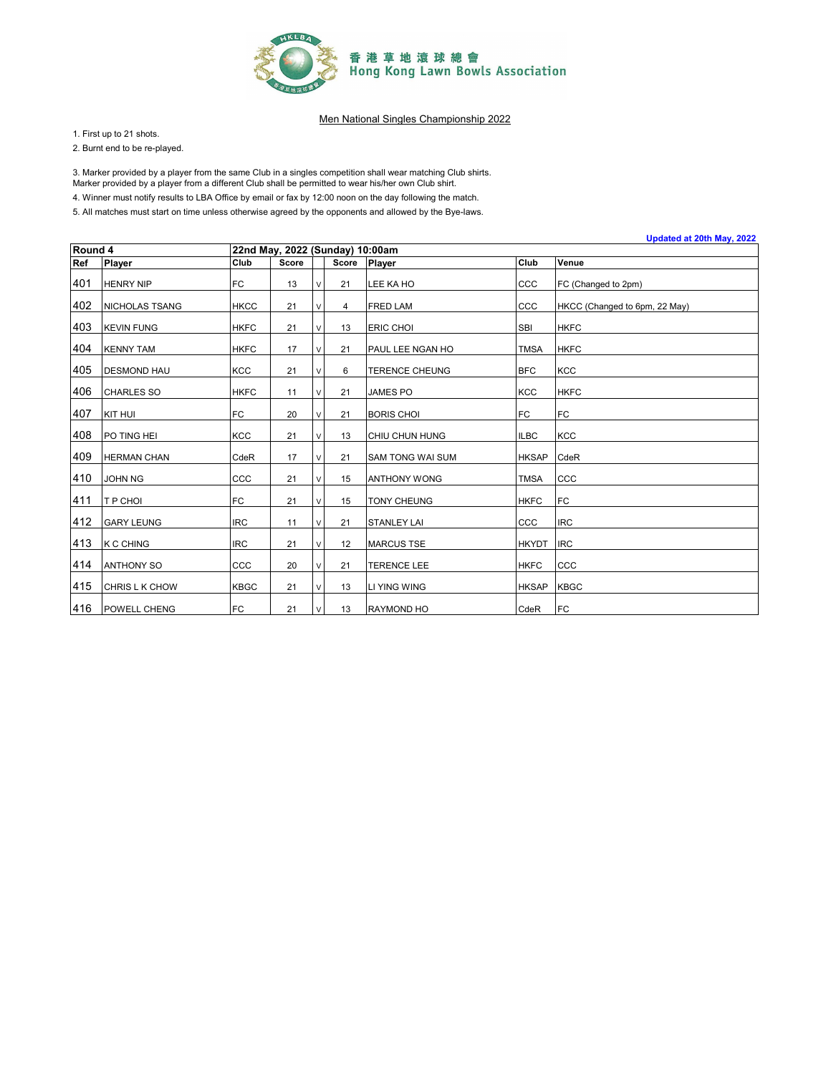

1. First up to 21 shots.

2. Burnt end to be re-played.

3. Marker provided by a player from the same Club in a singles competition shall wear matching Club shirts.

Marker provided by a player from a different Club shall be permitted to wear his/her own Club shirt.

4. Winner must notify results to LBA Office by email or fax by 12:00 noon on the day following the match.

|         | Updated at 20th May, 2022 |             |                                 |   |       |                       |              |                               |  |  |  |  |
|---------|---------------------------|-------------|---------------------------------|---|-------|-----------------------|--------------|-------------------------------|--|--|--|--|
| Round 4 |                           |             | 22nd May, 2022 (Sunday) 10:00am |   |       |                       |              |                               |  |  |  |  |
| Ref     | <b>Player</b>             | Club        | <b>Score</b>                    |   | Score | <b>Player</b>         | Club         | Venue                         |  |  |  |  |
| 401     | <b>HENRY NIP</b>          | FC          | 13                              | V | 21    | LEE KA HO             | CCC          | FC (Changed to 2pm)           |  |  |  |  |
| 402     | NICHOLAS TSANG            | <b>HKCC</b> | 21                              | V | 4     | <b>FRED LAM</b>       | CCC          | HKCC (Changed to 6pm, 22 May) |  |  |  |  |
| 403     | <b>KEVIN FUNG</b>         | <b>HKFC</b> | 21                              | V | 13    | <b>ERIC CHOI</b>      | <b>SBI</b>   | <b>HKFC</b>                   |  |  |  |  |
| 404     | <b>KENNY TAM</b>          | <b>HKFC</b> | 17                              | V | 21    | PAUL LEE NGAN HO      | <b>TMSA</b>  | <b>HKFC</b>                   |  |  |  |  |
| 405     | <b>DESMOND HAU</b>        | <b>KCC</b>  | 21                              | V | 6     | <b>TERENCE CHEUNG</b> | <b>BFC</b>   | <b>KCC</b>                    |  |  |  |  |
| 406     | <b>CHARLES SO</b>         | <b>HKFC</b> | 11                              | V | 21    | <b>JAMES PO</b>       | <b>KCC</b>   | <b>HKFC</b>                   |  |  |  |  |
| 407     | KIT HUI                   | FC          | 20                              | V | 21    | <b>BORIS CHOI</b>     | <b>FC</b>    | FC                            |  |  |  |  |
| 408     | PO TING HEI               | <b>KCC</b>  | 21                              | V | 13    | CHIU CHUN HUNG        | <b>ILBC</b>  | <b>KCC</b>                    |  |  |  |  |
| 409     | <b>HERMAN CHAN</b>        | CdeR        | 17                              | V | 21    | SAM TONG WAI SUM      | <b>HKSAP</b> | CdeR                          |  |  |  |  |
| 410     | <b>JOHN NG</b>            | CCC         | 21                              | V | 15    | <b>ANTHONY WONG</b>   | <b>TMSA</b>  | CCC                           |  |  |  |  |
| 411     | <b>T P CHOI</b>           | FC          | 21                              | V | 15    | TONY CHEUNG           | <b>HKFC</b>  | <b>FC</b>                     |  |  |  |  |
| 412     | <b>GARY LEUNG</b>         | <b>IRC</b>  | 11                              | V | 21    | <b>STANLEY LAI</b>    | CCC          | <b>IRC</b>                    |  |  |  |  |
| 413     | <b>K C CHING</b>          | <b>IRC</b>  | 21                              | V | 12    | <b>MARCUS TSE</b>     | <b>HKYDT</b> | <b>IRC</b>                    |  |  |  |  |
| 414     | <b>ANTHONY SO</b>         | CCC         | 20                              | V | 21    | <b>TERENCE LEE</b>    | <b>HKFC</b>  | CCC                           |  |  |  |  |
| 415     | CHRIS L K CHOW            | <b>KBGC</b> | 21                              | V | 13    | <b>LI YING WING</b>   | <b>HKSAP</b> | <b>KBGC</b>                   |  |  |  |  |
| 416     | <b>POWELL CHENG</b>       | <b>FC</b>   | 21                              | V | 13    | <b>RAYMOND HO</b>     | CdeR         | FC                            |  |  |  |  |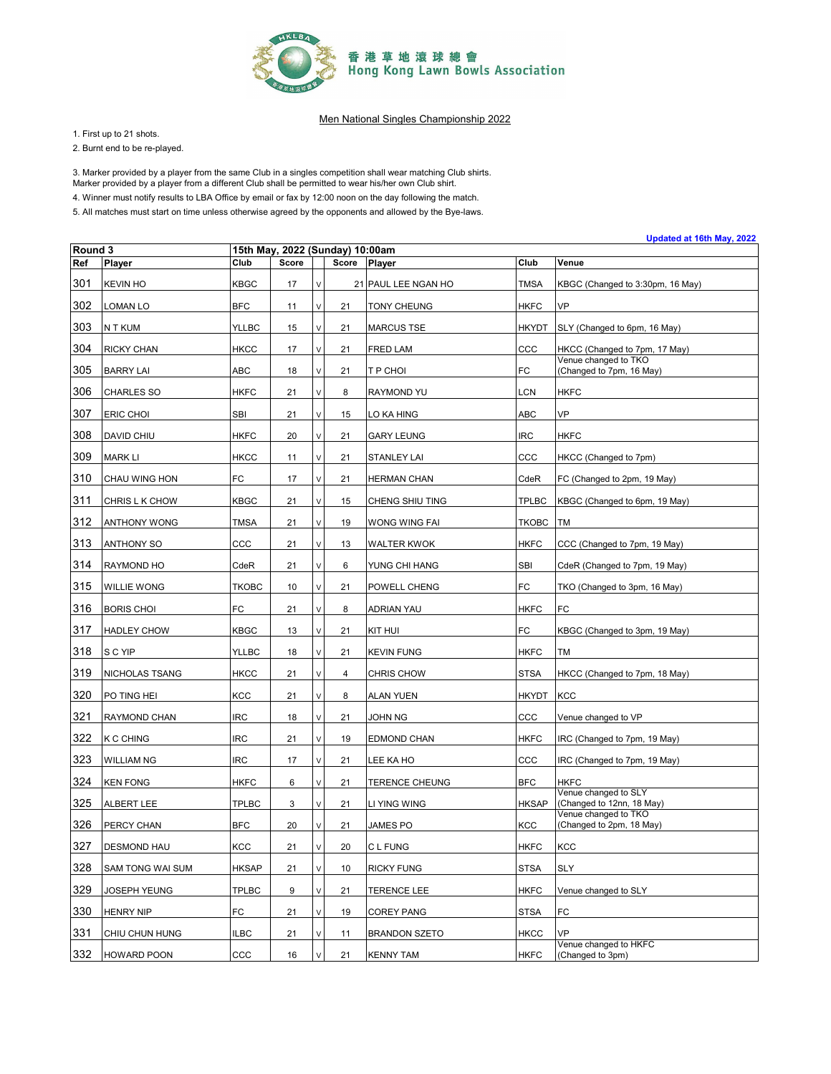

1. First up to 21 shots.

2. Burnt end to be re-played.

3. Marker provided by a player from the same Club in a singles competition shall wear matching Club shirts.

Marker provided by a player from a different Club shall be permitted to wear his/her own Club shirt.

4. Winner must notify results to LBA Office by email or fax by 12:00 noon on the day following the match.

|         | Updated at 16th May, 2022<br>15th May, 2022 (Sunday) 10:00am |              |              |              |       |                       |              |                                                   |  |  |  |
|---------|--------------------------------------------------------------|--------------|--------------|--------------|-------|-----------------------|--------------|---------------------------------------------------|--|--|--|
| Round 3 |                                                              |              |              |              |       |                       |              |                                                   |  |  |  |
| Ref     | Player                                                       | Club         | <b>Score</b> |              | Score | Player                | Club         | Venue                                             |  |  |  |
| 301     | <b>KEVIN HO</b>                                              | <b>KBGC</b>  | 17           | $\mathsf{V}$ |       | 21 PAUL LEE NGAN HO   | <b>TMSA</b>  | KBGC (Changed to 3:30pm, 16 May)                  |  |  |  |
| 302     | LOMAN LO                                                     | <b>BFC</b>   | 11           | V            | 21    | <b>TONY CHEUNG</b>    | <b>HKFC</b>  | VP                                                |  |  |  |
| 303     | N T KUM                                                      | <b>YLLBC</b> | 15           | V            | 21    | <b>MARCUS TSE</b>     | <b>HKYDT</b> | SLY (Changed to 6pm, 16 May)                      |  |  |  |
| 304     | <b>RICKY CHAN</b>                                            | <b>HKCC</b>  | 17           | $\vee$       | 21    | FRED LAM              | ccc          | HKCC (Changed to 7pm, 17 May)                     |  |  |  |
| 305     | <b>BARRY LAI</b>                                             | ABC          | 18           | V            | 21    | T P CHOI              | FC           | Venue changed to TKO<br>(Changed to 7pm, 16 May)  |  |  |  |
| 306     | <b>CHARLES SO</b>                                            | <b>HKFC</b>  | 21           | V            | 8     | <b>RAYMOND YU</b>     | LCN          | <b>HKFC</b>                                       |  |  |  |
| 307     | ERIC CHOI                                                    | SBI          | 21           | V            | 15    | LO KA HING            | ABC          | VP                                                |  |  |  |
| 308     | DAVID CHIU                                                   | <b>HKFC</b>  | 20           | V            | 21    | <b>GARY LEUNG</b>     | <b>IRC</b>   | <b>HKFC</b>                                       |  |  |  |
| 309     | <b>MARK LI</b>                                               | <b>HKCC</b>  | 11           | $\mathsf{V}$ | 21    | <b>STANLEY LAI</b>    | CCC          | HKCC (Changed to 7pm)                             |  |  |  |
| 310     | CHAU WING HON                                                | FC           | 17           | V            | 21    | HERMAN CHAN           | CdeR         | FC (Changed to 2pm, 19 May)                       |  |  |  |
| 311     | CHRIS L K CHOW                                               | <b>KBGC</b>  | 21           | V            | 15    | CHENG SHIU TING       | <b>TPLBC</b> | KBGC (Changed to 6pm, 19 May)                     |  |  |  |
| 312     | <b>ANTHONY WONG</b>                                          | <b>TMSA</b>  | 21           | $\mathsf{V}$ | 19    | WONG WING FAI         | <b>TKOBC</b> | TM                                                |  |  |  |
| 313     | <b>ANTHONY SO</b>                                            | ccc          | 21           | V            | 13    | WALTER KWOK           | HKFC         | CCC (Changed to 7pm, 19 May)                      |  |  |  |
| 314     | RAYMOND HO                                                   | CdeR         | 21           | V            | 6     | YUNG CHI HANG         | SBI          | CdeR (Changed to 7pm, 19 May)                     |  |  |  |
| 315     | WILLIE WONG                                                  | <b>TKOBC</b> | 10           | $\mathsf{V}$ | 21    | POWELL CHENG          | FC           | TKO (Changed to 3pm, 16 May)                      |  |  |  |
| 316     | <b>BORIS CHOI</b>                                            | FC           | 21           | V            | 8     | ADRIAN YAU            | <b>HKFC</b>  | FC                                                |  |  |  |
| 317     | <b>HADLEY CHOW</b>                                           | <b>KBGC</b>  | 13           | V            | 21    | KIT HUI               | FC           | KBGC (Changed to 3pm, 19 May)                     |  |  |  |
| 318     | S C YIP                                                      | <b>YLLBC</b> | 18           | V            | 21    | <b>KEVIN FUNG</b>     | <b>HKFC</b>  | <b>TM</b>                                         |  |  |  |
| 319     | NICHOLAS TSANG                                               | <b>HKCC</b>  | 21           | V            | 4     | CHRIS CHOW            | <b>STSA</b>  | HKCC (Changed to 7pm, 18 May)                     |  |  |  |
| 320     | PO TING HEI                                                  | KCC          | 21           | V            | 8     | <b>ALAN YUEN</b>      | <b>HKYDT</b> | <b>KCC</b>                                        |  |  |  |
| 321     | RAYMOND CHAN                                                 | <b>IRC</b>   | 18           | $\mathsf{V}$ | 21    | JOHN NG               | ccc          | Venue changed to VP                               |  |  |  |
| 322     | <b>K C CHING</b>                                             | <b>IRC</b>   | 21           | V            | 19    | EDMOND CHAN           | <b>HKFC</b>  | IRC (Changed to 7pm, 19 May)                      |  |  |  |
| 323     | <b>WILLIAM NG</b>                                            | <b>IRC</b>   | 17           | V            | 21    | LEE KA HO             | CCC          | IRC (Changed to 7pm, 19 May)                      |  |  |  |
| 324     | <b>KEN FONG</b>                                              | <b>HKFC</b>  | 6            | $\mathsf{V}$ | 21    | <b>TERENCE CHEUNG</b> | <b>BFC</b>   | <b>HKFC</b>                                       |  |  |  |
| 325     | ALBERT LEE                                                   | <b>TPLBC</b> | 3            | V            | 21    | LI YING WING          | <b>HKSAP</b> | Venue changed to SLY<br>(Changed to 12nn, 18 May) |  |  |  |
| 326     | PERCY CHAN                                                   | <b>BFC</b>   | 20           | V            | 21    | JAMES PO              | KCC          | Venue changed to TKO<br>(Changed to 2pm, 18 May)  |  |  |  |
| 327     | <b>DESMOND HAU</b>                                           | KCC          | 21           | $\lor$       | 20    | C L FUNG              | <b>HKFC</b>  | <b>KCC</b>                                        |  |  |  |
| 328     | SAM TONG WAI SUM                                             | <b>HKSAP</b> | 21           | $\vee$       | 10    | <b>RICKY FUNG</b>     | <b>STSA</b>  | SLY                                               |  |  |  |
| 329     | JOSEPH YEUNG                                                 | <b>TPLBC</b> | 9            | V            | 21    | TERENCE LEE           | <b>HKFC</b>  | Venue changed to SLY                              |  |  |  |
| 330     | <b>HENRY NIP</b>                                             | FC           | 21           | V            | 19    | <b>COREY PANG</b>     | <b>STSA</b>  | FC                                                |  |  |  |
| 331     | CHIU CHUN HUNG                                               | <b>ILBC</b>  | 21           | V            | 11    | <b>BRANDON SZETO</b>  | <b>HKCC</b>  | VP                                                |  |  |  |
| 332     | <b>HOWARD POON</b>                                           | ccc          | 16           | V            | 21    | <b>KENNY TAM</b>      | <b>HKFC</b>  | Venue changed to HKFC<br>(Changed to 3pm)         |  |  |  |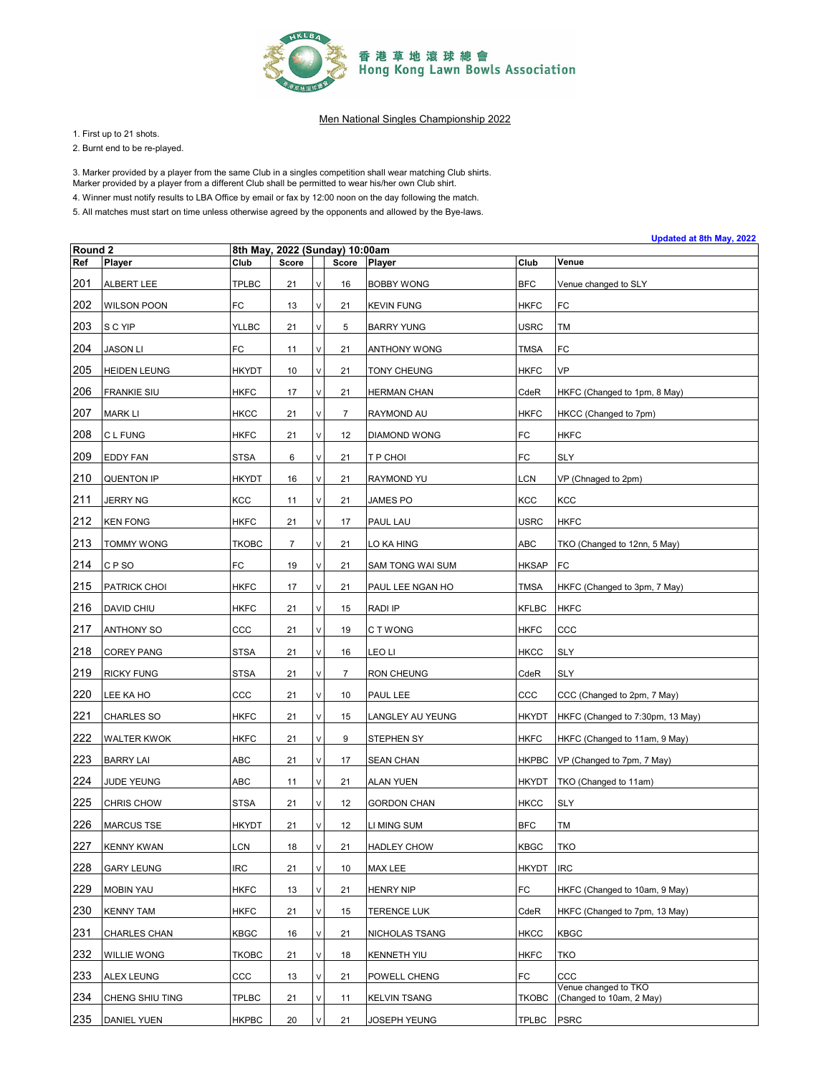

1. First up to 21 shots.

2. Burnt end to be re-played.

3. Marker provided by a player from the same Club in a singles competition shall wear matching Club shirts.

Marker provided by a player from a different Club shall be permitted to wear his/her own Club shirt.

4. Winner must notify results to LBA Office by email or fax by 12:00 noon on the day following the match.

5. All matches must start on time unless otherwise agreed by the opponents and allowed by the Bye-laws.

| Round <sub>2</sub> |                     |              | 8th May, 2022 (Sunday) 10:00am |        |                |                     |              |                                                  |  |  |
|--------------------|---------------------|--------------|--------------------------------|--------|----------------|---------------------|--------------|--------------------------------------------------|--|--|
| Ref                | Player              | Club         | <b>Score</b>                   |        | Score          | Player              | Club         | Venue                                            |  |  |
| 201                | ALBERT LEE          | <b>TPLBC</b> | 21                             | V      | 16             | <b>BOBBY WONG</b>   | <b>BFC</b>   | Venue changed to SLY                             |  |  |
| 202                | <b>WILSON POON</b>  | FC           | 13                             | V      | 21             | <b>KEVIN FUNG</b>   | <b>HKFC</b>  | FC                                               |  |  |
| 203                | S C YIP             | <b>YLLBC</b> | 21                             | $\vee$ | 5              | <b>BARRY YUNG</b>   | <b>USRC</b>  | TM                                               |  |  |
| 204                | <b>JASON LI</b>     | FC           | 11                             | V      | 21             | ANTHONY WONG        | <b>TMSA</b>  | FC                                               |  |  |
| 205                | <b>HEIDEN LEUNG</b> | <b>HKYDT</b> | 10                             | V      | 21             | TONY CHEUNG         | <b>HKFC</b>  | VP                                               |  |  |
| 206                | <b>FRANKIE SIU</b>  | <b>HKFC</b>  | 17                             | $\vee$ | 21             | <b>HERMAN CHAN</b>  | CdeR         | HKFC (Changed to 1pm, 8 May)                     |  |  |
| 207                | <b>MARK LI</b>      | <b>HKCC</b>  | 21                             | V      | $\overline{7}$ | RAYMOND AU          | <b>HKFC</b>  | HKCC (Changed to 7pm)                            |  |  |
| 208                | C L FUNG            | <b>HKFC</b>  | 21                             | V      | 12             | DIAMOND WONG        | FC           | HKFC                                             |  |  |
| 209                | EDDY FAN            | STSA         | 6                              | $\vee$ | 21             | T P CHOI            | FC           | <b>SLY</b>                                       |  |  |
| 210                | <b>QUENTON IP</b>   | <b>HKYDT</b> | 16                             | V      | 21             | RAYMOND YU          | LCN          | VP (Chnaged to 2pm)                              |  |  |
| 211                | <b>JERRY NG</b>     | KCC          | 11                             | ٧      | 21             | JAMES PO            | KCC          | KCC                                              |  |  |
| 212                | <b>KEN FONG</b>     | <b>HKFC</b>  | 21                             | $\vee$ | 17             | PAUL LAU            | <b>USRC</b>  | <b>HKFC</b>                                      |  |  |
| 213                | <b>TOMMY WONG</b>   | <b>TKOBC</b> | 7                              | V      | 21             | LO KA HING          | ABC          | TKO (Changed to 12nn, 5 May)                     |  |  |
| 214                | CP <sub>SO</sub>    | FC           | 19                             | ٧      | 21             | SAM TONG WAI SUM    | <b>HKSAP</b> | FC                                               |  |  |
| 215                | PATRICK CHOI        | <b>HKFC</b>  | 17                             | V      | 21             | PAUL LEE NGAN HO    | TMSA         | HKFC (Changed to 3pm, 7 May)                     |  |  |
| 216                | DAVID CHIU          | <b>HKFC</b>  | 21                             | V      | 15             | RADI IP             | <b>KFLBC</b> | <b>HKFC</b>                                      |  |  |
| 217                | <b>ANTHONY SO</b>   | ccc          | 21                             | V      | 19             | C T WONG            | <b>HKFC</b>  | ccc                                              |  |  |
| 218                | <b>COREY PANG</b>   | <b>STSA</b>  | 21                             | V      | 16             | LEO LI              | <b>HKCC</b>  | <b>SLY</b>                                       |  |  |
| 219                | <b>RICKY FUNG</b>   | <b>STSA</b>  | 21                             | V      | 7              | RON CHEUNG          | CdeR         | SLY                                              |  |  |
| 220                | LEE KA HO           | ccc          | 21                             | V      | 10             | PAUL LEE            | ccc          | CCC (Changed to 2pm, 7 May)                      |  |  |
| 221                | <b>CHARLES SO</b>   | <b>HKFC</b>  | 21                             | V      | 15             | LANGLEY AU YEUNG    | <b>HKYDT</b> | HKFC (Changed to 7:30pm, 13 May)                 |  |  |
| 222                | <b>WALTER KWOK</b>  | <b>HKFC</b>  | 21                             | V      | 9              | STEPHEN SY          | <b>HKFC</b>  | HKFC (Changed to 11am, 9 May)                    |  |  |
| 223                | <b>BARRY LAI</b>    | ABC          | 21                             | V      | 17             | <b>SEAN CHAN</b>    | <b>HKPBC</b> | VP (Changed to 7pm, 7 May)                       |  |  |
| 224                | JUDE YEUNG          | ABC          | 11                             | V      | 21             | <b>ALAN YUEN</b>    | <b>HKYDT</b> | TKO (Changed to 11am)                            |  |  |
| 225                | <b>CHRIS CHOW</b>   | STSA         | 21                             | V      | 12             | <b>GORDON CHAN</b>  | <b>HKCC</b>  | <b>SLY</b>                                       |  |  |
| 226                | <b>MARCUS TSE</b>   | <b>HKYDT</b> | 21                             | V      | 12             | LI MING SUM         | <b>BFC</b>   | TM                                               |  |  |
| 227                | <b>KENNY KWAN</b>   | <b>LCN</b>   | 18                             | $\vee$ | 21             | <b>HADLEY CHOW</b>  | <b>KBGC</b>  | <b>TKO</b>                                       |  |  |
| 228                | <b>GARY LEUNG</b>   | <b>IRC</b>   | 21                             | V      | 10             | MAX LEE             | <b>HKYDT</b> | <b>IRC</b>                                       |  |  |
| 229                | <b>MOBIN YAU</b>    | <b>HKFC</b>  | 13                             | V      | 21             | HENRY NIP           | FC           | HKFC (Changed to 10am, 9 May)                    |  |  |
| 230                | <b>KENNY TAM</b>    | <b>HKFC</b>  | 21                             | V      | 15             | TERENCE LUK         | CdeR         | HKFC (Changed to 7pm, 13 May)                    |  |  |
| 231                | <b>CHARLES CHAN</b> | KBGC         | 16                             | V      | 21             | NICHOLAS TSANG      | <b>HKCC</b>  | <b>KBGC</b>                                      |  |  |
| 232                | WILLIE WONG         | <b>TKOBC</b> | 21                             | V      | 18             | KENNETH YIU         | <b>HKFC</b>  | <b>TKO</b>                                       |  |  |
| 233                | <b>ALEX LEUNG</b>   | ccc          | 13                             | V      | 21             | POWELL CHENG        | FC           | CCC                                              |  |  |
| 234                | CHENG SHIU TING     | <b>TPLBC</b> | 21                             | ν      | 11             | <b>KELVIN TSANG</b> | <b>TKOBC</b> | Venue changed to TKO<br>(Changed to 10am, 2 May) |  |  |
| 235                | <b>DANIEL YUEN</b>  | <b>HKPBC</b> | 20                             | $\vee$ | 21             | JOSEPH YEUNG        | <b>TPLBC</b> | <b>PSRC</b>                                      |  |  |

**Updated at 8th May, 2022**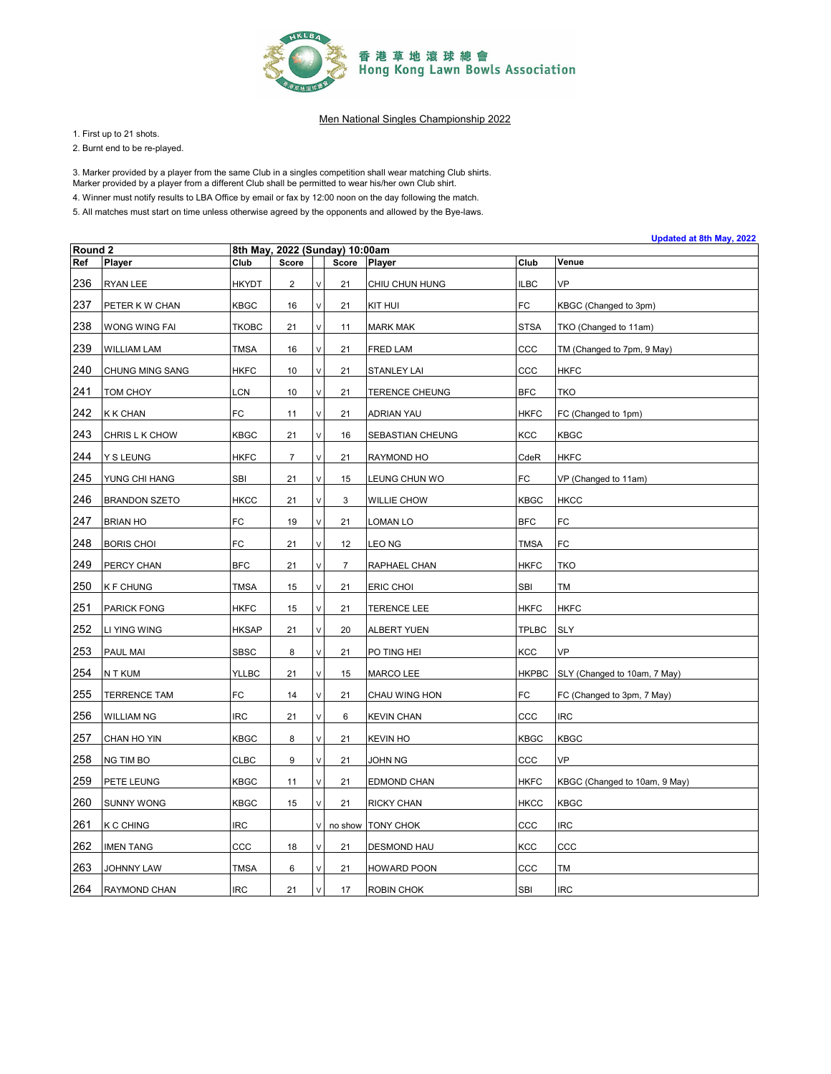

1. First up to 21 shots.

2. Burnt end to be re-played.

3. Marker provided by a player from the same Club in a singles competition shall wear matching Club shirts.

Marker provided by a player from a different Club shall be permitted to wear his/her own Club shirt.

4. Winner must notify results to LBA Office by email or fax by 12:00 noon on the day following the match.

|         | Updated at 8th May, 2022<br>8th May, 2022 (Sunday) 10:00am |              |                |        |                |                     |              |                               |  |  |  |  |
|---------|------------------------------------------------------------|--------------|----------------|--------|----------------|---------------------|--------------|-------------------------------|--|--|--|--|
| Round 2 |                                                            |              |                |        |                |                     |              |                               |  |  |  |  |
| Ref     | Player                                                     | Club         | Score          |        | Score          | Player              | Club         | Venue                         |  |  |  |  |
| 236     | RYAN LEE                                                   | <b>HKYDT</b> | 2              | ν      | 21             | CHIU CHUN HUNG      | <b>ILBC</b>  | VP                            |  |  |  |  |
| 237     | PETER K W CHAN                                             | <b>KBGC</b>  | 16             | V      | 21             | <b>KIT HUI</b>      | FC           | KBGC (Changed to 3pm)         |  |  |  |  |
| 238     | WONG WING FAI                                              | <b>TKOBC</b> | 21             | V      | 11             | <b>MARK MAK</b>     | <b>STSA</b>  | TKO (Changed to 11am)         |  |  |  |  |
| 239     | <b>WILLIAM LAM</b>                                         | <b>TMSA</b>  | 16             | V      | 21             | FRED LAM            | ccc          | TM (Changed to 7pm, 9 May)    |  |  |  |  |
| 240     | CHUNG MING SANG                                            | <b>HKFC</b>  | 10             | V      | 21             | <b>STANLEY LAI</b>  | ccc          | <b>HKFC</b>                   |  |  |  |  |
| 241     | TOM CHOY                                                   | LCN          | 10             | V      | 21             | TERENCE CHEUNG      | <b>BFC</b>   | <b>TKO</b>                    |  |  |  |  |
| 242     | <b>K K CHAN</b>                                            | FC           | 11             | V      | 21             | ADRIAN YAU          | <b>HKFC</b>  | FC (Changed to 1pm)           |  |  |  |  |
| 243     | CHRIS L K CHOW                                             | <b>KBGC</b>  | 21             | V      | 16             | SEBASTIAN CHEUNG    | KCC          | <b>KBGC</b>                   |  |  |  |  |
| 244     | Y S LEUNG                                                  | <b>HKFC</b>  | $\overline{7}$ | V      | 21             | RAYMOND HO          | CdeR         | <b>HKFC</b>                   |  |  |  |  |
| 245     | YUNG CHI HANG                                              | <b>SBI</b>   | 21             | V      | 15             | LEUNG CHUN WO       | FC           | VP (Changed to 11am)          |  |  |  |  |
| 246     | <b>BRANDON SZETO</b>                                       | <b>HKCC</b>  | 21             | $\vee$ | 3              | <b>WILLIE CHOW</b>  | <b>KBGC</b>  | <b>HKCC</b>                   |  |  |  |  |
| 247     | <b>BRIAN HO</b>                                            | FC           | 19             | V      | 21             | LOMAN LO            | <b>BFC</b>   | FC                            |  |  |  |  |
| 248     | <b>BORIS CHOI</b>                                          | FC           | 21             | V      | 12             | LEO NG              | <b>TMSA</b>  | FC                            |  |  |  |  |
| 249     | PERCY CHAN                                                 | <b>BFC</b>   | 21             | $\vee$ | $\overline{7}$ | RAPHAEL CHAN        | <b>HKFC</b>  | <b>TKO</b>                    |  |  |  |  |
| 250     | <b>KF CHUNG</b>                                            | <b>TMSA</b>  | 15             | V      | 21             | ERIC CHOI           | SBI          | TM                            |  |  |  |  |
| 251     | PARICK FONG                                                | <b>HKFC</b>  | 15             | $\vee$ | 21             | <b>TERENCE LEE</b>  | <b>HKFC</b>  | <b>HKFC</b>                   |  |  |  |  |
| 252     | LI YING WING                                               | <b>HKSAP</b> | 21             | ٧      | 20             | <b>ALBERT YUEN</b>  | <b>TPLBC</b> | <b>SLY</b>                    |  |  |  |  |
| 253     | PAUL MAI                                                   | <b>SBSC</b>  | 8              | V      | 21             | PO TING HEI         | KCC          | <b>VP</b>                     |  |  |  |  |
| 254     | N T KUM                                                    | <b>YLLBC</b> | 21             | V      | 15             | MARCO LEE           | <b>HKPBC</b> | SLY (Changed to 10am, 7 May)  |  |  |  |  |
| 255     | <b>TERRENCE TAM</b>                                        | FC           | 14             | V      | 21             | CHAU WING HON       | FC           | FC (Changed to 3pm, 7 May)    |  |  |  |  |
| 256     | <b>WILLIAM NG</b>                                          | <b>IRC</b>   | 21             | $\vee$ | 6              | <b>KEVIN CHAN</b>   | CCC          | <b>IRC</b>                    |  |  |  |  |
| 257     | CHAN HO YIN                                                | <b>KBGC</b>  | 8              | V      | 21             | <b>KEVIN HO</b>     | <b>KBGC</b>  | <b>KBGC</b>                   |  |  |  |  |
| 258     | NG TIM BO                                                  | <b>CLBC</b>  | 9              | $\vee$ | 21             | JOHN NG             | ccc          | VP                            |  |  |  |  |
| 259     | PETE LEUNG                                                 | <b>KBGC</b>  | 11             | V      | 21             | EDMOND CHAN         | <b>HKFC</b>  | KBGC (Changed to 10am, 9 May) |  |  |  |  |
| 260     | <b>SUNNY WONG</b>                                          | KBGC         | 15             | $\vee$ | 21             | RICKY CHAN          | <b>HKCC</b>  | <b>KBGC</b>                   |  |  |  |  |
| 261     | K C CHING                                                  | <b>IRC</b>   |                | V      |                | no show   TONY CHOK | ccc          | <b>IRC</b>                    |  |  |  |  |
| 262     | <b>IMEN TANG</b>                                           | CCC          | 18             | V      | 21             | <b>DESMOND HAU</b>  | KCC          | ccc                           |  |  |  |  |
| 263     | JOHNNY LAW                                                 | <b>TMSA</b>  | 6              |        | 21             | <b>HOWARD POON</b>  | ccc          | <b>TM</b>                     |  |  |  |  |
| 264     | RAYMOND CHAN                                               | <b>IRC</b>   | 21             | $\vee$ | 17             | ROBIN CHOK          | <b>SBI</b>   | <b>IRC</b>                    |  |  |  |  |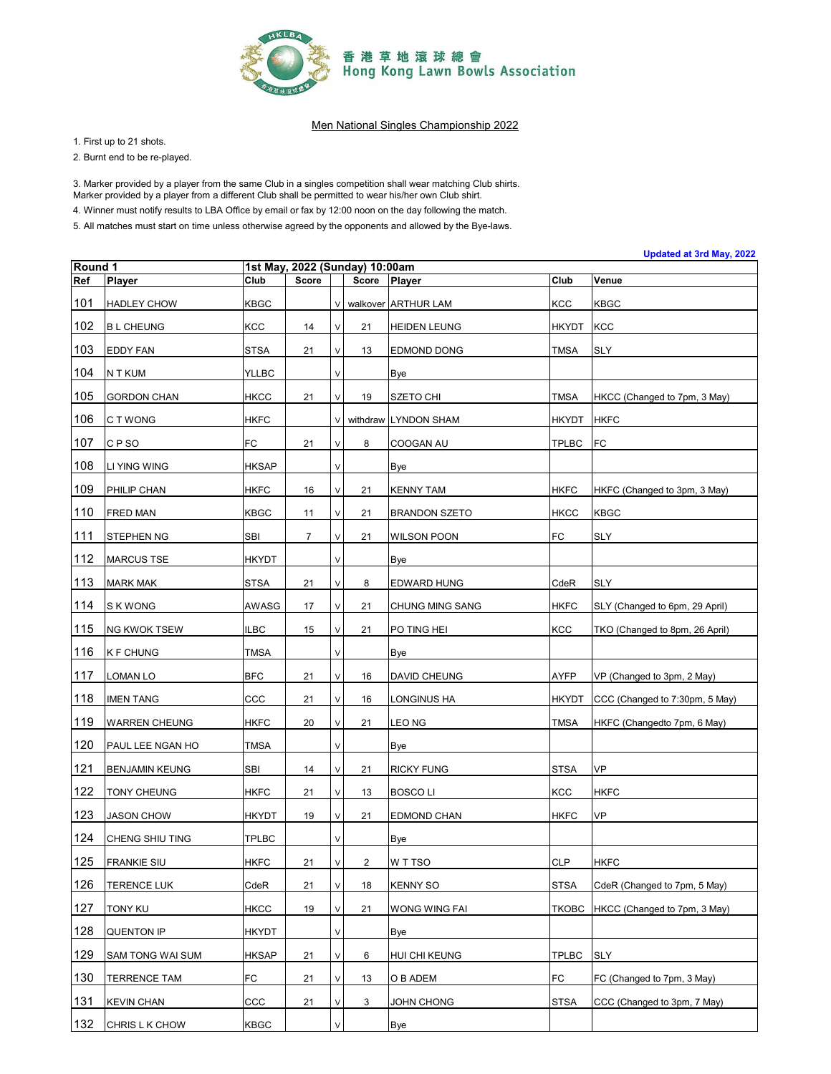

1. First up to 21 shots.

2. Burnt end to be re-played.

3. Marker provided by a player from the same Club in a singles competition shall wear matching Club shirts.

Marker provided by a player from a different Club shall be permitted to wear his/her own Club shirt.

4. Winner must notify results to LBA Office by email or fax by 12:00 noon on the day following the match.

| Updated at 3rd May, 2022<br>Round 1<br>1st May, 2022 (Sunday) 10:00am |                         |              |       |        |                |                      |              |                                |  |  |  |  |
|-----------------------------------------------------------------------|-------------------------|--------------|-------|--------|----------------|----------------------|--------------|--------------------------------|--|--|--|--|
| Ref                                                                   | <b>Player</b>           | Club         | Score |        | Score          | Player               | Club         | Venue                          |  |  |  |  |
| 101                                                                   | <b>HADLEY CHOW</b>      | <b>KBGC</b>  |       | $\vee$ |                | walkover ARTHUR LAM  | <b>KCC</b>   | <b>KBGC</b>                    |  |  |  |  |
| 102                                                                   | <b>BL CHEUNG</b>        | <b>KCC</b>   | 14    | V      | 21             | <b>HEIDEN LEUNG</b>  | <b>HKYDT</b> | KCC                            |  |  |  |  |
| 103                                                                   | <b>EDDY FAN</b>         | <b>STSA</b>  | 21    | V      | 13             | <b>EDMOND DONG</b>   | <b>TMSA</b>  | <b>SLY</b>                     |  |  |  |  |
| 104                                                                   | N T KUM                 | <b>YLLBC</b> |       | V      |                | Bye                  |              |                                |  |  |  |  |
| 105                                                                   | <b>GORDON CHAN</b>      | <b>HKCC</b>  | 21    | V      | 19             | <b>SZETO CHI</b>     | <b>TMSA</b>  | HKCC (Changed to 7pm, 3 May)   |  |  |  |  |
| 106                                                                   | C T WONG                | <b>HKFC</b>  |       | V      |                | withdraw LYNDON SHAM | <b>HKYDT</b> | <b>HKFC</b>                    |  |  |  |  |
| 107                                                                   | CP <sub>SO</sub>        | FC           | 21    | V      | 8              | COOGAN AU            | <b>TPLBC</b> | FC                             |  |  |  |  |
| 108                                                                   | LI YING WING            | <b>HKSAP</b> |       | V      |                | Bye                  |              |                                |  |  |  |  |
| 109                                                                   | PHILIP CHAN             | <b>HKFC</b>  | 16    | V      | 21             | <b>KENNY TAM</b>     | <b>HKFC</b>  | HKFC (Changed to 3pm, 3 May)   |  |  |  |  |
| 110                                                                   | <b>FRED MAN</b>         | <b>KBGC</b>  | 11    | V      | 21             | <b>BRANDON SZETO</b> | <b>HKCC</b>  | <b>KBGC</b>                    |  |  |  |  |
| 111                                                                   | <b>STEPHEN NG</b>       | SBI          | 7     | V      | 21             | <b>WILSON POON</b>   | <b>FC</b>    | <b>SLY</b>                     |  |  |  |  |
| 112                                                                   | <b>MARCUS TSE</b>       | HKYDT        |       | V      |                | Bye                  |              |                                |  |  |  |  |
| 113                                                                   | <b>MARK MAK</b>         | <b>STSA</b>  | 21    | V      | 8              | EDWARD HUNG          | CdeR         | <b>SLY</b>                     |  |  |  |  |
| 114                                                                   | S K WONG                | AWASG        | 17    | V      | 21             | CHUNG MING SANG      | <b>HKFC</b>  | SLY (Changed to 6pm, 29 April) |  |  |  |  |
| 115                                                                   | <b>NG KWOK TSEW</b>     | <b>ILBC</b>  | 15    | V      | 21             | PO TING HEI          | <b>KCC</b>   | TKO (Changed to 8pm, 26 April) |  |  |  |  |
| 116                                                                   | <b>K F CHUNG</b>        | <b>TMSA</b>  |       | V      |                | Bye                  |              |                                |  |  |  |  |
| $117$                                                                 | LOMAN LO                | <b>BFC</b>   | 21    | V      | 16             | DAVID CHEUNG         | <b>AYFP</b>  | VP (Changed to 3pm, 2 May)     |  |  |  |  |
| 118                                                                   | <b>IMEN TANG</b>        | ccc          | 21    | V      | 16             | LONGINUS HA          | <b>HKYDT</b> | CCC (Changed to 7:30pm, 5 May) |  |  |  |  |
| 119                                                                   | <b>WARREN CHEUNG</b>    | <b>HKFC</b>  | 20    | V      | 21             | LEO NG               | <b>TMSA</b>  | HKFC (Changedto 7pm, 6 May)    |  |  |  |  |
| 120                                                                   | PAUL LEE NGAN HO        | TMSA         |       | V      |                | Bye                  |              |                                |  |  |  |  |
| 121                                                                   | <b>BENJAMIN KEUNG</b>   | <b>SBI</b>   | 14    | V      | 21             | <b>RICKY FUNG</b>    | <b>STSA</b>  | <b>VP</b>                      |  |  |  |  |
| 122                                                                   | TONY CHEUNG             | HKFC         | 21    | V      | 13             | <b>BOSCO LI</b>      | KCC          | <b>HKFC</b>                    |  |  |  |  |
| 123                                                                   | <b>JASON CHOW</b>       | <b>HKYDT</b> | 19    | V      | 21             | EDMOND CHAN          | <b>HKFC</b>  | <b>VP</b>                      |  |  |  |  |
| 124                                                                   | CHENG SHIU TING         | <b>TPLBC</b> |       | V      |                | <b>Bye</b>           |              |                                |  |  |  |  |
| 125                                                                   | <b>FRANKIE SIU</b>      | <b>HKFC</b>  | 21    | V      | $\overline{2}$ | W T TSO              | <b>CLP</b>   | <b>HKFC</b>                    |  |  |  |  |
| 126                                                                   | <b>TERENCE LUK</b>      | CdeR         | 21    | V      | 18             | <b>KENNY SO</b>      | <b>STSA</b>  | CdeR (Changed to 7pm, 5 May)   |  |  |  |  |
| 127                                                                   | TONY KU                 | <b>HKCC</b>  | 19    | V      | 21             | WONG WING FAI        | <b>TKOBC</b> | HKCC (Changed to 7pm, 3 May)   |  |  |  |  |
| 128                                                                   | <b>QUENTON IP</b>       | HKYDT        |       | V      |                | Bye                  |              |                                |  |  |  |  |
| 129                                                                   | <b>SAM TONG WAI SUM</b> | <b>HKSAP</b> | 21    | V      | 6              | HUI CHI KEUNG        | <b>TPLBC</b> | <b>SLY</b>                     |  |  |  |  |
| 130                                                                   | <b>TERRENCE TAM</b>     | FC           | 21    | V      | 13             | O B ADEM             | <b>FC</b>    | FC (Changed to 7pm, 3 May)     |  |  |  |  |
| 131                                                                   | <b>KEVIN CHAN</b>       | CCC          | 21    | V      | 3              | JOHN CHONG           | <b>STSA</b>  | CCC (Changed to 3pm, 7 May)    |  |  |  |  |
| 132                                                                   | CHRIS L K CHOW          | <b>KBGC</b>  |       | V      |                | Bye                  |              |                                |  |  |  |  |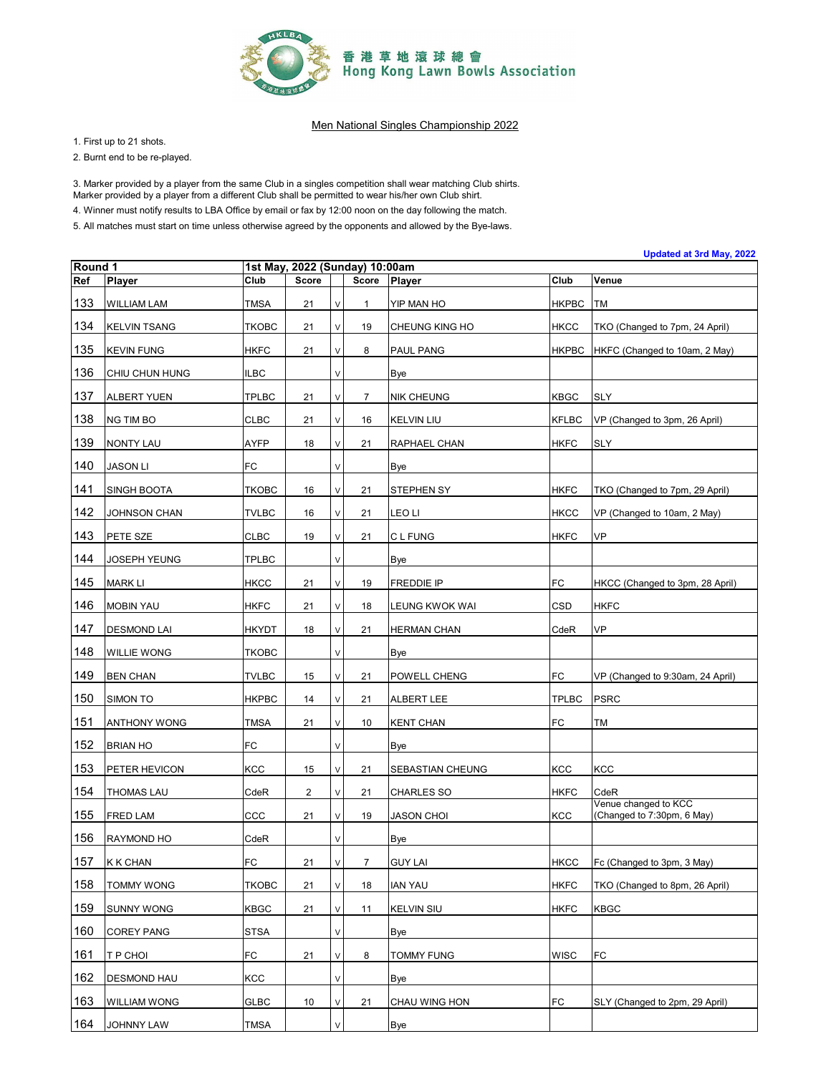

1. First up to 21 shots.

2. Burnt end to be re-played.

3. Marker provided by a player from the same Club in a singles competition shall wear matching Club shirts.

Marker provided by a player from a different Club shall be permitted to wear his/her own Club shirt.

4. Winner must notify results to LBA Office by email or fax by 12:00 noon on the day following the match.

| Round 1 |                     |              |       |   |                                         |                    |              | Updated at 3rd May, 2022                           |
|---------|---------------------|--------------|-------|---|-----------------------------------------|--------------------|--------------|----------------------------------------------------|
| Ref     | Player              | Club         | Score |   | 1st May, 2022 (Sunday) 10:00am<br>Score | Player             | Club         | Venue                                              |
| 133     | <b>WILLIAM LAM</b>  | <b>TMSA</b>  | 21    | V | $\mathbf{1}$                            | YIP MAN HO         | <b>HKPBC</b> | <b>TM</b>                                          |
| 134     | <b>KELVIN TSANG</b> | <b>TKOBC</b> | 21    | V | 19                                      | CHEUNG KING HO     | <b>HKCC</b>  | TKO (Changed to 7pm, 24 April)                     |
| 135     | <b>KEVIN FUNG</b>   | <b>HKFC</b>  | 21    | V | 8                                       | PAUL PANG          | <b>HKPBC</b> | HKFC (Changed to 10am, 2 May)                      |
| 136     | CHIU CHUN HUNG      | <b>ILBC</b>  |       | V |                                         | Bye                |              |                                                    |
| 137     | <b>ALBERT YUEN</b>  | <b>TPLBC</b> | 21    | V | $\overline{7}$                          | <b>NIK CHEUNG</b>  | <b>KBGC</b>  | <b>SLY</b>                                         |
| 138     | <b>NG TIM BO</b>    | <b>CLBC</b>  | 21    | V | 16                                      | <b>KELVIN LIU</b>  | <b>KFLBC</b> | VP (Changed to 3pm, 26 April)                      |
| 139     | <b>NONTY LAU</b>    | <b>AYFP</b>  | 18    | V | 21                                      | RAPHAEL CHAN       | <b>HKFC</b>  | <b>SLY</b>                                         |
| 140     | <b>JASON LI</b>     | <b>FC</b>    |       | V |                                         | Bye                |              |                                                    |
| 141     | <b>SINGH BOOTA</b>  | <b>TKOBC</b> | 16    | V | 21                                      | STEPHEN SY         | <b>HKFC</b>  | TKO (Changed to 7pm, 29 April)                     |
| 142     | JOHNSON CHAN        | <b>TVLBC</b> | 16    | V | 21                                      | LEO LI             | <b>HKCC</b>  | VP (Changed to 10am, 2 May)                        |
| 143     | PETE SZE            | <b>CLBC</b>  | 19    | V | 21                                      | C L FUNG           | <b>HKFC</b>  | VP                                                 |
| 144     | <b>JOSEPH YEUNG</b> | <b>TPLBC</b> |       | V |                                         | Bye                |              |                                                    |
| 145     | <b>MARK LI</b>      | <b>HKCC</b>  | 21    | V | 19                                      | <b>FREDDIE IP</b>  | FC           | HKCC (Changed to 3pm, 28 April)                    |
| 146     | <b>MOBIN YAU</b>    | <b>HKFC</b>  | 21    | V | 18                                      | LEUNG KWOK WAI     | CSD          | <b>HKFC</b>                                        |
| 147     | <b>DESMOND LAI</b>  | <b>HKYDT</b> | 18    | V | 21                                      | <b>HERMAN CHAN</b> | CdeR         | <b>VP</b>                                          |
| 148     | WILLIE WONG         | <b>TKOBC</b> |       | V |                                         | Bye                |              |                                                    |
| 149     | <b>BEN CHAN</b>     | <b>TVLBC</b> | 15    | V | 21                                      | POWELL CHENG       | FC           | VP (Changed to 9:30am, 24 April)                   |
| 150     | SIMON TO            | <b>HKPBC</b> | 14    | V | 21                                      | ALBERT LEE         | <b>TPLBC</b> | <b>PSRC</b>                                        |
| 151     | <b>ANTHONY WONG</b> | <b>TMSA</b>  | 21    | V | 10                                      | <b>KENT CHAN</b>   | FC           | ТM                                                 |
| 152     | <b>BRIAN HO</b>     | FC           |       | V |                                         | Bye                |              |                                                    |
| 153     | PETER HEVICON       | KCC          | 15    | V | 21                                      | SEBASTIAN CHEUNG   | <b>KCC</b>   | <b>KCC</b>                                         |
| 154     | <b>THOMAS LAU</b>   | CdeR         | 2     | V | 21                                      | <b>CHARLES SO</b>  | <b>HKFC</b>  | CdeR                                               |
| 155     | <b>FRED LAM</b>     | CCC          | 21    | V | 19                                      | <b>JASON CHOI</b>  | <b>KCC</b>   | Venue changed to KCC<br>(Changed to 7:30pm, 6 May) |
| 156     | RAYMOND HO          | CdeR         |       | V |                                         | Bye                |              |                                                    |
| 157     | <b>K K CHAN</b>     | FC           | 21    | V | $\overline{7}$                          | <b>GUY LAI</b>     | <b>HKCC</b>  | Fc (Changed to 3pm, 3 May)                         |
| 158     | <b>TOMMY WONG</b>   | <b>TKOBC</b> | 21    | V | 18                                      | <b>IAN YAU</b>     | <b>HKFC</b>  | TKO (Changed to 8pm, 26 April)                     |
| 159     | <b>SUNNY WONG</b>   | <b>KBGC</b>  | 21    | V | 11                                      | <b>KELVIN SIU</b>  | <b>HKFC</b>  | <b>KBGC</b>                                        |
| 160     | <b>COREY PANG</b>   | <b>STSA</b>  |       | V |                                         | Bye                |              |                                                    |
| 161     | T P CHOI            | FC           | 21    | V | 8                                       | <b>TOMMY FUNG</b>  | <b>WISC</b>  | FC                                                 |
| 162     | <b>DESMOND HAU</b>  | <b>KCC</b>   |       | V |                                         | Bye                |              |                                                    |
| 163     | <b>WILLIAM WONG</b> | <b>GLBC</b>  | 10    | V | 21                                      | CHAU WING HON      | <b>FC</b>    | SLY (Changed to 2pm, 29 April)                     |
| 164     | JOHNNY LAW          | <b>TMSA</b>  |       | V |                                         | Bye                |              |                                                    |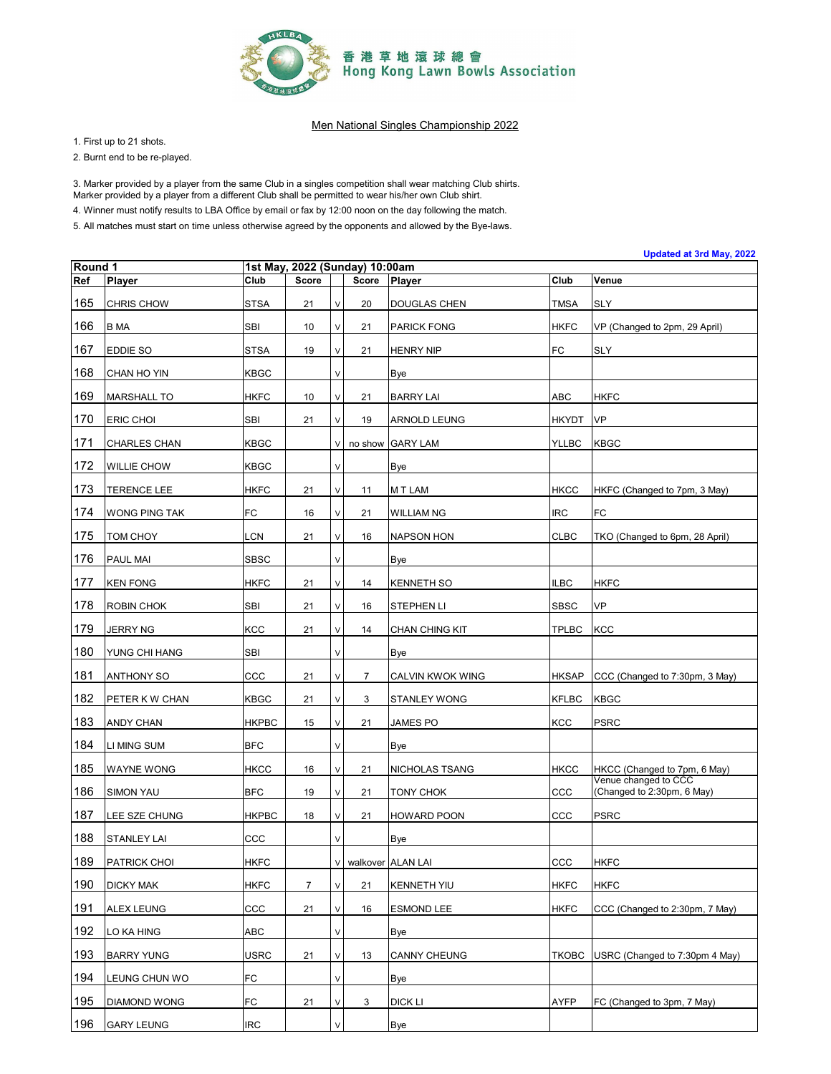

1. First up to 21 shots.

2. Burnt end to be re-played.

3. Marker provided by a player from the same Club in a singles competition shall wear matching Club shirts.

Marker provided by a player from a different Club shall be permitted to wear his/her own Club shirt.

4. Winner must notify results to LBA Office by email or fax by 12:00 noon on the day following the match.

|                |                      |              |       |    |                                         |                     |              | Updated at 3rd May, 2022                           |
|----------------|----------------------|--------------|-------|----|-----------------------------------------|---------------------|--------------|----------------------------------------------------|
| Round 1<br>Ref | Player               | Club         | Score |    | 1st May, 2022 (Sunday) 10:00am<br>Score | Player              | Club         | Venue                                              |
| 165            | <b>CHRIS CHOW</b>    | <b>STSA</b>  | 21    | V  | 20                                      | DOUGLAS CHEN        | <b>TMSA</b>  | <b>SLY</b>                                         |
| 166            | <b>B</b> MA          | SBI          | 10    | V  | 21                                      | <b>PARICK FONG</b>  | <b>HKFC</b>  | VP (Changed to 2pm, 29 April)                      |
| 167            | <b>EDDIE SO</b>      | <b>STSA</b>  | 19    | V  | 21                                      | <b>HENRY NIP</b>    | <b>FC</b>    | <b>SLY</b>                                         |
| 168            | CHAN HO YIN          | <b>KBGC</b>  |       | V  |                                         | Bye                 |              |                                                    |
| 169            | <b>MARSHALL TO</b>   | <b>HKFC</b>  | 10    | V  | 21                                      | <b>BARRY LAI</b>    | ABC          | <b>HKFC</b>                                        |
| 170            | <b>ERIC CHOI</b>     | <b>SBI</b>   | 21    | V  | 19                                      | ARNOLD LEUNG        | <b>HKYDT</b> | <b>VP</b>                                          |
| 171            | CHARLES CHAN         | <b>KBGC</b>  |       | V  | no show                                 | <b>GARY LAM</b>     | <b>YLLBC</b> | <b>KBGC</b>                                        |
| 172            | <b>WILLIE CHOW</b>   | <b>KBGC</b>  |       | V  |                                         | Bye                 |              |                                                    |
| 173            | <b>TERENCE LEE</b>   | <b>HKFC</b>  | 21    | V  | 11                                      | M T LAM             | <b>HKCC</b>  | HKFC (Changed to 7pm, 3 May)                       |
| 174            | <b>WONG PING TAK</b> | FC           | 16    | V  | 21                                      | WILLIAM NG          | <b>IRC</b>   | <b>FC</b>                                          |
| 175            | TOM CHOY             | LCN          | 21    | V  | 16                                      | <b>NAPSON HON</b>   | <b>CLBC</b>  | TKO (Changed to 6pm, 28 April)                     |
| 176            | PAUL MAI             | <b>SBSC</b>  |       | V  |                                         | Bye                 |              |                                                    |
| 177            | <b>KEN FONG</b>      | <b>HKFC</b>  | 21    | V  | 14                                      | <b>KENNETH SO</b>   | <b>ILBC</b>  | <b>HKFC</b>                                        |
| 178            | ROBIN CHOK           | <b>SBI</b>   | 21    | V  | 16                                      | STEPHEN LI          | <b>SBSC</b>  | <b>VP</b>                                          |
| 179            | <b>JERRY NG</b>      | <b>KCC</b>   | 21    | V  | 14                                      | CHAN CHING KIT      | <b>TPLBC</b> | <b>KCC</b>                                         |
| 180            | YUNG CHI HANG        | <b>SBI</b>   |       | V  |                                         | Bye                 |              |                                                    |
| 181            | <b>ANTHONY SO</b>    | CCC          | 21    | V  | $\overline{7}$                          | CALVIN KWOK WING    | <b>HKSAP</b> | CCC (Changed to 7:30pm, 3 May)                     |
| 182            | PETER K W CHAN       | <b>KBGC</b>  | 21    | V  | 3                                       | STANLEY WONG        | <b>KFLBC</b> | <b>KBGC</b>                                        |
| 183            | <b>ANDY CHAN</b>     | <b>HKPBC</b> | 15    | V  | 21                                      | <b>JAMES PO</b>     | KCC          | <b>PSRC</b>                                        |
| 184            | LI MING SUM          | <b>BFC</b>   |       | V  |                                         | Bye                 |              |                                                    |
| 185            | <b>WAYNE WONG</b>    | <b>HKCC</b>  | 16    | V  | 21                                      | NICHOLAS TSANG      | <b>HKCC</b>  | HKCC (Changed to 7pm, 6 May)                       |
| 186            | <b>SIMON YAU</b>     | <b>BFC</b>   | 19    | V  | 21                                      | TONY CHOK           | ccc          | Venue changed to CCC<br>(Changed to 2:30pm, 6 May) |
| 187            | LEE SZE CHUNG        | <b>HKPBC</b> | 18    | V  | 21                                      | HOWARD POON         | ccc          | <b>PSRC</b>                                        |
| 188            | <b>STANLEY LAI</b>   | CCC          |       | V  |                                         | Bye                 |              |                                                    |
| 189            | PATRICK CHOI         | <b>HKFC</b>  |       | V. |                                         | walkover ALAN LAI   | CCC          | <b>HKFC</b>                                        |
| 190            | <b>DICKY MAK</b>     | <b>HKFC</b>  | 7     | V  | 21                                      | <b>KENNETH YIU</b>  | <b>HKFC</b>  | <b>HKFC</b>                                        |
| 191            | <b>ALEX LEUNG</b>    | ccc          | 21    | V  | 16                                      | <b>ESMOND LEE</b>   | <b>HKFC</b>  | CCC (Changed to 2:30pm, 7 May)                     |
| 192            | LO KA HING           | ABC          |       | V  |                                         | Bye                 |              |                                                    |
| 193            | <b>BARRY YUNG</b>    | <b>USRC</b>  | 21    | V  | 13                                      | <b>CANNY CHEUNG</b> | <b>TKOBC</b> | USRC (Changed to 7:30pm 4 May)                     |
| 194            | LEUNG CHUN WO        | FC           |       | V  |                                         | Bye                 |              |                                                    |
| 195            | <b>DIAMOND WONG</b>  | FC           | 21    | V  | 3                                       | DICK LI             | <b>AYFP</b>  | FC (Changed to 3pm, 7 May)                         |
| 196            | <b>GARY LEUNG</b>    | <b>IRC</b>   |       | V  |                                         | <b>Bye</b>          |              |                                                    |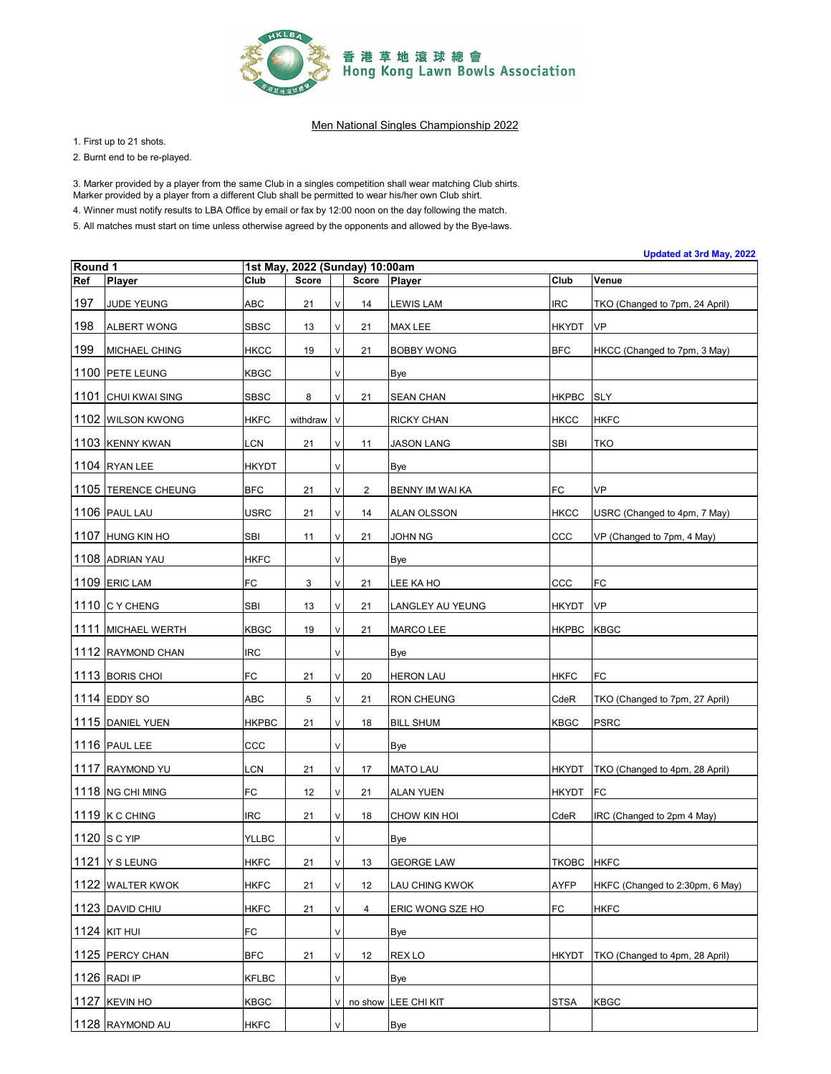

1. First up to 21 shots.

2. Burnt end to be re-played.

3. Marker provided by a player from the same Club in a singles competition shall wear matching Club shirts.

Marker provided by a player from a different Club shall be permitted to wear his/her own Club shirt.

4. Winner must notify results to LBA Office by email or fax by 12:00 noon on the day following the match.

5. All matches must start on time unless otherwise agreed by the opponents and allowed by the Bye-laws.

| Round 1 |                      | 1st May, 2022 (Sunday) 10:00am |              |              |              |                   |              |                                 |  |  |  |
|---------|----------------------|--------------------------------|--------------|--------------|--------------|-------------------|--------------|---------------------------------|--|--|--|
| Ref     | <b>Player</b>        | Club                           | <b>Score</b> |              | <b>Score</b> | Player            | Club         | Venue                           |  |  |  |
| 197     | JUDE YEUNG           | ABC                            | 21           | $\mathsf{V}$ | 14           | LEWIS LAM         | IRC          | TKO (Changed to 7pm, 24 April)  |  |  |  |
| 198     | <b>ALBERT WONG</b>   | SBSC                           | 13           | $\mathsf{V}$ | 21           | MAX LEE           | <b>HKYDT</b> | <b>VP</b>                       |  |  |  |
| 199     | <b>MICHAEL CHING</b> | HKCC                           | 19           | V            | 21           | <b>BOBBY WONG</b> | <b>BFC</b>   | HKCC (Changed to 7pm, 3 May)    |  |  |  |
|         | 1100 PETE LEUNG      | <b>KBGC</b>                    |              | $\vee$       |              | Bye               |              |                                 |  |  |  |
|         | 1101 CHUI KWAI SING  | <b>SBSC</b>                    | 8            | $\vee$       | 21           | <b>SEAN CHAN</b>  | <b>HKPBC</b> | <b>SLY</b>                      |  |  |  |
|         | 1102 WILSON KWONG    | <b>HKFC</b>                    | withdraw V   |              |              | <b>RICKY CHAN</b> | <b>HKCC</b>  | <b>HKFC</b>                     |  |  |  |
|         | 1103 KENNY KWAN      | LCN                            | 21           | $\mathsf{V}$ | 11           | <b>JASON LANG</b> | SBI          | <b>TKO</b>                      |  |  |  |
|         | 1104 RYAN LEE        | <b>HKYDT</b>                   |              | V            |              | Bye               |              |                                 |  |  |  |
|         | 1105 TERENCE CHEUNG  | <b>BFC</b>                     | 21           | $\lor$       | 2            | BENNY IM WAI KA   | FC           | VP                              |  |  |  |
|         | 1106 PAUL LAU        | USRC                           | 21           | $\mathsf{V}$ | 14           | ALAN OLSSON       | <b>HKCC</b>  | USRC (Changed to 4pm, 7 May)    |  |  |  |
|         | 1107 HUNG KIN HO     | SBI                            | 11           | V            | 21           | JOHN NG           | ccc          | VP (Changed to 7pm, 4 May)      |  |  |  |
|         | 1108 ADRIAN YAU      | HKFC                           |              | V            |              | Bye               |              |                                 |  |  |  |
|         | 1109 ERIC LAM        | FC                             | 3            | $\vee$       | 21           | LEE KA HO         | CCC          | FC                              |  |  |  |
|         | 1110 C Y CHENG       | SBI                            | 13           | $\mathsf{V}$ | 21           | LANGLEY AU YEUNG  | <b>HKYDT</b> | <b>VP</b>                       |  |  |  |
|         | 1111 MICHAEL WERTH   | <b>KBGC</b>                    | 19           | $\mathsf{V}$ | 21           | MARCO LEE         | <b>HKPBC</b> | <b>KBGC</b>                     |  |  |  |
|         | 1112 RAYMOND CHAN    | IRC                            |              | $\mathsf{V}$ |              | Bye               |              |                                 |  |  |  |
|         | 1113 BORIS CHOI      | FC                             | 21           | $\mathsf{V}$ | 20           | <b>HERON LAU</b>  | <b>HKFC</b>  | FC                              |  |  |  |
|         | 1114 EDDY SO         | ABC                            | 5            | V            | 21           | RON CHEUNG        | CdeR         | TKO (Changed to 7pm, 27 April)  |  |  |  |
|         | 1115 DANIEL YUEN     | <b>HKPBC</b>                   | 21           | V            | 18           | <b>BILL SHUM</b>  | <b>KBGC</b>  | <b>PSRC</b>                     |  |  |  |
|         | 1116 PAUL LEE        | CCC                            |              | $\vee$       |              | Bye               |              |                                 |  |  |  |
|         | 1117 RAYMOND YU      | LCN                            | 21           | $\mathsf{V}$ | 17           | <b>MATO LAU</b>   | <b>HKYDT</b> | TKO (Changed to 4pm, 28 April)  |  |  |  |
|         | 1118 NG CHI MING     | FC                             | 12           | $\vee$       | 21           | ALAN YUEN         | <b>HKYDT</b> | <b>FC</b>                       |  |  |  |
|         | 1119 K C CHING       | IRC                            | 21           | $\mathsf{V}$ | 18           | CHOW KIN HOI      | CdeR         | IRC (Changed to 2pm 4 May)      |  |  |  |
|         | 1120 S C YIP         | <b>YLLBC</b>                   |              | $\lor$       |              | Bye               |              |                                 |  |  |  |
|         | 1121 Y S LEUNG       | <b>HKFC</b>                    | 21           | $\mathsf{V}$ | 13           | <b>GEORGE LAW</b> | TKOBC HKFC   |                                 |  |  |  |
|         | 1122 WALTER KWOK     | <b>HKFC</b>                    | 21           | $\vee$       | 12           | LAU CHING KWOK    | AYFP         | HKFC (Changed to 2:30pm, 6 May) |  |  |  |
|         | 1123 DAVID CHIU      | <b>HKFC</b>                    | 21           | $\lor$       | 4            | ERIC WONG SZE HO  | <b>FC</b>    | <b>HKFC</b>                     |  |  |  |
|         | <b>1124 KIT HUI</b>  | FC                             |              | V            |              | Bye               |              |                                 |  |  |  |
|         | 1125 PERCY CHAN      | <b>BFC</b>                     | 21           | $\lor$       | 12           | <b>REX LO</b>     | <b>HKYDT</b> | TKO (Changed to 4pm, 28 April)  |  |  |  |
|         | 1126 RADI IP         | <b>KFLBC</b>                   |              | $\mathsf{V}$ |              | Bye               |              |                                 |  |  |  |
|         | 1127 KEVIN HO        | <b>KBGC</b>                    |              | $\vee$       | no show      | LEE CHI KIT       | <b>STSA</b>  | <b>KBGC</b>                     |  |  |  |
|         | 1128 RAYMOND AU      | <b>HKFC</b>                    |              | $\vee$       |              | <b>Bye</b>        |              |                                 |  |  |  |

**Updated at 3rd May, 2022**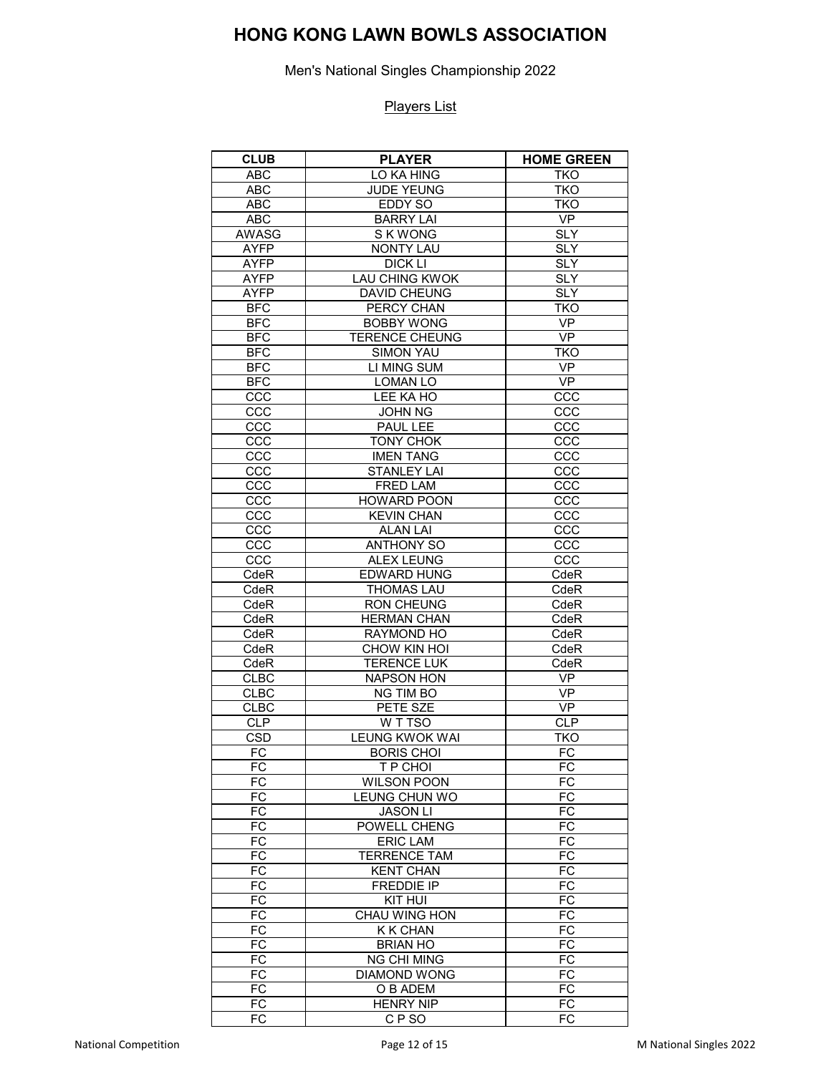Men's National Singles Championship 2022

| <b>CLUB</b>     | <b>PLAYER</b>         | <b>HOME GREEN</b> |
|-----------------|-----------------------|-------------------|
| <b>ABC</b>      | LO KA HING            | <b>TKO</b>        |
| <b>ABC</b>      | <b>JUDE YEUNG</b>     | <b>TKO</b>        |
| <b>ABC</b>      | EDDY SO               | <b>TKO</b>        |
| <b>ABC</b>      | <b>BARRY LAI</b>      | VP                |
| <b>AWASG</b>    | S K WONG              | <b>SLY</b>        |
| <b>AYFP</b>     | <b>NONTY LAU</b>      | <b>SLY</b>        |
| <b>AYFP</b>     | DICK LI               | <b>SLY</b>        |
| <b>AYFP</b>     | LAU CHING KWOK        | <b>SLY</b>        |
| <b>AYFP</b>     | <b>DAVID CHEUNG</b>   | <b>SLY</b>        |
| <b>BFC</b>      | PERCY CHAN            | <b>TKO</b>        |
| <b>BFC</b>      | <b>BOBBY WONG</b>     | <b>VP</b>         |
| BF <sub>C</sub> | <b>TERENCE CHEUNG</b> | <b>VP</b>         |
| <b>BFC</b>      | <b>SIMON YAU</b>      | <b>TKO</b>        |
| <b>BFC</b>      | LI MING SUM           | <b>VP</b>         |
| <b>BFC</b>      |                       | <b>VP</b>         |
|                 | <b>LOMAN LO</b>       |                   |
| CCC             | LEE KA HO             | CCC               |
| CCC             | <b>JOHN NG</b>        | CCC               |
| CCC             | PAUL LEE              | CCC               |
| CCC             | <b>TONY CHOK</b>      | CCC               |
| CCC             | <b>IMEN TANG</b>      | CCC               |
| CCC             | <b>STANLEY LAI</b>    | CCC               |
| CCC             | FRED LAM              | CCC               |
| CCC             | <b>HOWARD POON</b>    | CCC               |
| CCC             | <b>KEVIN CHAN</b>     | CCC               |
| CCC             | <b>ALAN LAI</b>       | $\overline{ccc}$  |
| CCC             | <b>ANTHONY SO</b>     | CCC               |
| CCC             | <b>ALEX LEUNG</b>     | CCC               |
| CdeR            | <b>EDWARD HUNG</b>    | CdeR              |
| CdeR            | <b>THOMAS LAU</b>     | CdeR              |
| CdeR            | <b>RON CHEUNG</b>     | CdeR              |
| CdeR            | <b>HERMAN CHAN</b>    | CdeR              |
| CdeR            | RAYMOND HO            | CdeR              |
| CdeR            | CHOW KIN HOI          | CdeR              |
| CdeR            | <b>TERENCE LUK</b>    | CdeR              |
| <b>CLBC</b>     | <b>NAPSON HON</b>     | VP                |
| <b>CLBC</b>     | NG TIM BO             | VP                |
| <b>CLBC</b>     | PETE SZE              | <b>VP</b>         |
| <b>CLP</b>      | W T TSO               | <b>CLP</b>        |
| <b>CSD</b>      | <b>LEUNG KWOK WAI</b> | <b>TKO</b>        |
| FC              | <b>BORIS CHOI</b>     | FC                |
| FC              | T P CHOI              | FC                |
| <b>FC</b>       | <b>WILSON POON</b>    | $F\overline{C}$   |
| FC              | LEUNG CHUN WO         | <b>FC</b>         |
| FC              | <b>JASON LI</b>       | FC                |
| FC              | POWELL CHENG          | FC                |
| FC              | <b>ERIC LAM</b>       | FC                |
| FC              | <b>TERRENCE TAM</b>   | FC                |
| FC              | <b>KENT CHAN</b>      | FC                |
| FC              | <b>FREDDIE IP</b>     | FC                |
| FC              | KIT HUI               | $\overline{FC}$   |
| FC              | <b>CHAU WING HON</b>  | FC                |
| FC              | <b>K K CHAN</b>       | FC                |
| FC              |                       | FC                |
| FC              | <b>BRIAN HO</b>       | FC                |
|                 | <b>NG CHI MING</b>    |                   |
| <b>FC</b>       | <b>DIAMOND WONG</b>   | $\overline{FC}$   |
| FC              | O B ADEM              | FC                |
| FC              | <b>HENRY NIP</b>      | FC                |
| FC              | CFSO                  | FC                |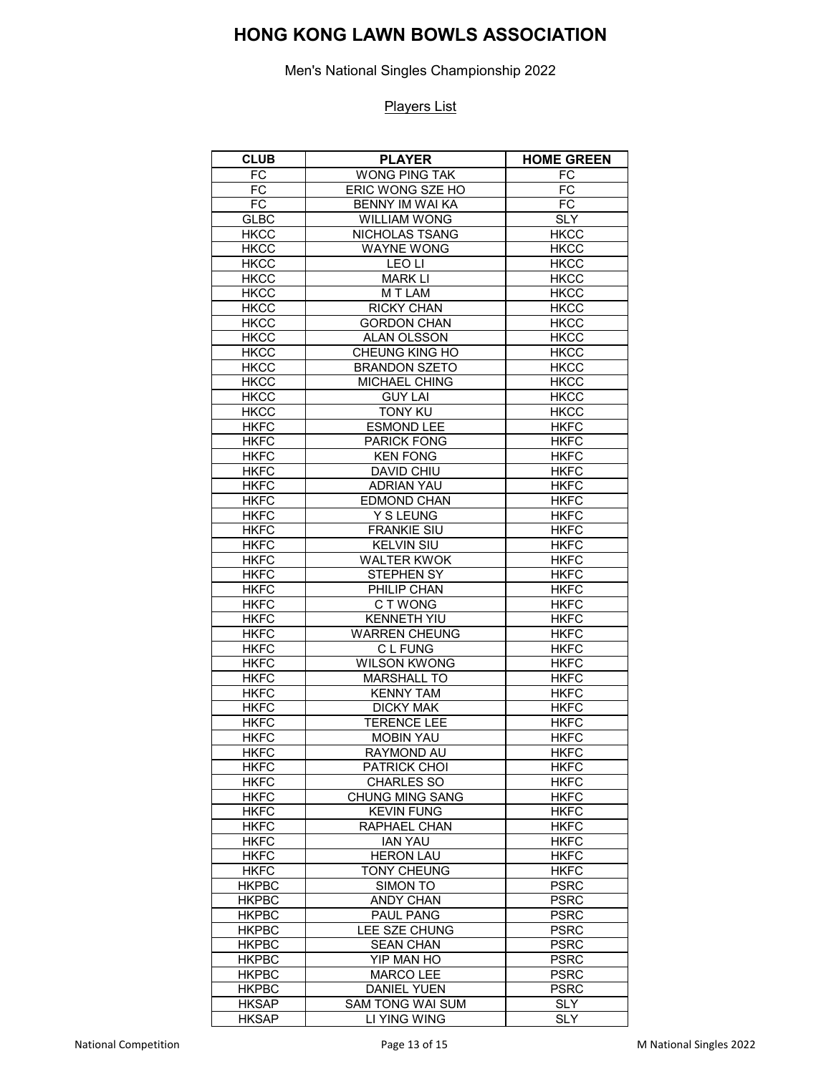Men's National Singles Championship 2022

| <b>CLUB</b>                | <b>PLAYER</b>                         | <b>HOME GREEN</b>          |
|----------------------------|---------------------------------------|----------------------------|
| FC                         | <b>WONG PING TAK</b>                  | FC                         |
| $\overline{FC}$            | ERIC WONG SZE HO                      | FC                         |
| FC                         | BENNY IM WAI KA                       | FC                         |
| <b>GLBC</b>                | <b>WILLIAM WONG</b>                   | <b>SLY</b>                 |
| <b>HKCC</b>                | NICHOLAS TSANG                        | <b>HKCC</b>                |
| <b>HKCC</b>                | <b>WAYNE WONG</b>                     | <b>HKCC</b>                |
| <b>HKCC</b>                | LEO LI                                | <b>HKCC</b>                |
| <b>HKCC</b>                | <b>MARK LI</b>                        | <b>HKCC</b>                |
| <b>HKCC</b>                | M T LAM                               | <b>HKCC</b>                |
| <b>HKCC</b>                | <b>RICKY CHAN</b>                     | <b>HKCC</b>                |
| <b>HKCC</b>                | <b>GORDON CHAN</b>                    | <b>HKCC</b>                |
| <b>HKCC</b>                | ALAN OLSSON                           | <b>HKCC</b>                |
| <b>HKCC</b>                | CHEUNG KING HO                        | <b>HKCC</b>                |
| <b>HKCC</b>                | <b>BRANDON SZETO</b>                  | <b>HKCC</b>                |
| <b>HKCC</b>                | MICHAEL CHING                         | <b>HKCC</b>                |
| <b>HKCC</b>                | <b>GUY LAI</b>                        | <b>HKCC</b>                |
| <b>HKCC</b>                | <b>TONY KU</b>                        | <b>HKCC</b>                |
| <b>HKFC</b>                | <b>ESMOND LEE</b>                     | <b>HKFC</b>                |
| <b>HKFC</b>                | <b>PARICK FONG</b>                    | <b>HKFC</b>                |
| <b>HKFC</b>                | <b>KEN FONG</b>                       | <b>HKFC</b>                |
|                            |                                       |                            |
| <b>HKFC</b>                | DAVID CHIU                            | <b>HKFC</b>                |
| <b>HKFC</b>                | <b>ADRIAN YAU</b>                     | <b>HKFC</b>                |
| <b>HKFC</b>                | <b>EDMOND CHAN</b>                    | <b>HKFC</b>                |
| <b>HKFC</b>                | <b>Y S LEUNG</b>                      | <b>HKFC</b>                |
| <b>HKFC</b>                | <b>FRANKIE SIU</b>                    | <b>HKFC</b>                |
| <b>HKFC</b>                | <b>KELVIN SIU</b>                     | <b>HKFC</b>                |
| <b>HKFC</b>                | <b>WALTER KWOK</b>                    | <b>HKFC</b>                |
| <b>HKFC</b>                | STEPHEN SY                            | <b>HKFC</b>                |
| <b>HKFC</b>                | PHILIP CHAN                           | <b>HKFC</b>                |
| <b>HKFC</b>                | C T WONG                              | <b>HKFC</b>                |
| <b>HKFC</b>                | <b>KENNETH YIU</b>                    | <b>HKFC</b>                |
| <b>HKFC</b>                | <b>WARREN CHEUNG</b>                  | <b>HKFC</b>                |
| <b>HKFC</b><br><b>HKFC</b> | C L FUNG<br><b>WILSON KWONG</b>       | <b>HKFC</b><br><b>HKFC</b> |
| <b>HKFC</b>                |                                       |                            |
|                            | <b>MARSHALL TO</b>                    | <b>HKFC</b>                |
| <b>HKFC</b>                | <b>KENNY TAM</b>                      | <b>HKFC</b>                |
| <b>HKFC</b>                | <b>DICKY MAK</b>                      | <b>HKFC</b>                |
| <b>HKFC</b>                | <b>TERENCE LEE</b>                    | <b>HKFC</b>                |
| <b>HKFC</b><br><b>HKFC</b> | <b>MOBIN YAU</b><br><b>RAYMOND AU</b> | <b>HKFC</b>                |
|                            |                                       | <b>HKFC</b>                |
| <b>HKFC</b>                | PATRICK CHOI                          | <b>HKFC</b>                |
| <b>HKFC</b>                | <b>CHARLES SO</b>                     | <b>HKFC</b>                |
| <b>HKFC</b>                | <b>CHUNG MING SANG</b>                | <b>HKFC</b>                |
| <b>HKFC</b>                | <b>KEVIN FUNG</b>                     | <b>HKFC</b>                |
| <b>HKFC</b>                | RAPHAEL CHAN                          | <b>HKFC</b>                |
| <b>HKFC</b>                | <b>IAN YAU</b>                        | <b>HKFC</b>                |
| <b>HKFC</b>                | <b>HERON LAU</b>                      | <b>HKFC</b>                |
| <b>HKFC</b>                | <b>TONY CHEUNG</b>                    | <b>HKFC</b>                |
| <b>HKPBC</b>               | SIMON TO                              | <b>PSRC</b>                |
| <b>HKPBC</b>               | <b>ANDY CHAN</b><br>PAUL PANG         | <b>PSRC</b>                |
| <b>HKPBC</b>               |                                       | <b>PSRC</b>                |
| <b>HKPBC</b>               | LEE SZE CHUNG                         | <b>PSRC</b>                |
| <b>HKPBC</b>               | <b>SEAN CHAN</b>                      | <b>PSRC</b>                |
| <b>HKPBC</b>               | YIP MAN HO                            | <b>PSRC</b>                |
| <b>HKPBC</b>               | <b>MARCO LEE</b>                      | <b>PSRC</b>                |
| <b>HKPBC</b>               | <b>DANIEL YUEN</b>                    | <b>PSRC</b><br><b>SLY</b>  |
| <b>HKSAP</b>               | SAM TONG WAI SUM<br>LI YING WING      |                            |
| <b>HKSAP</b>               |                                       | <b>SLY</b>                 |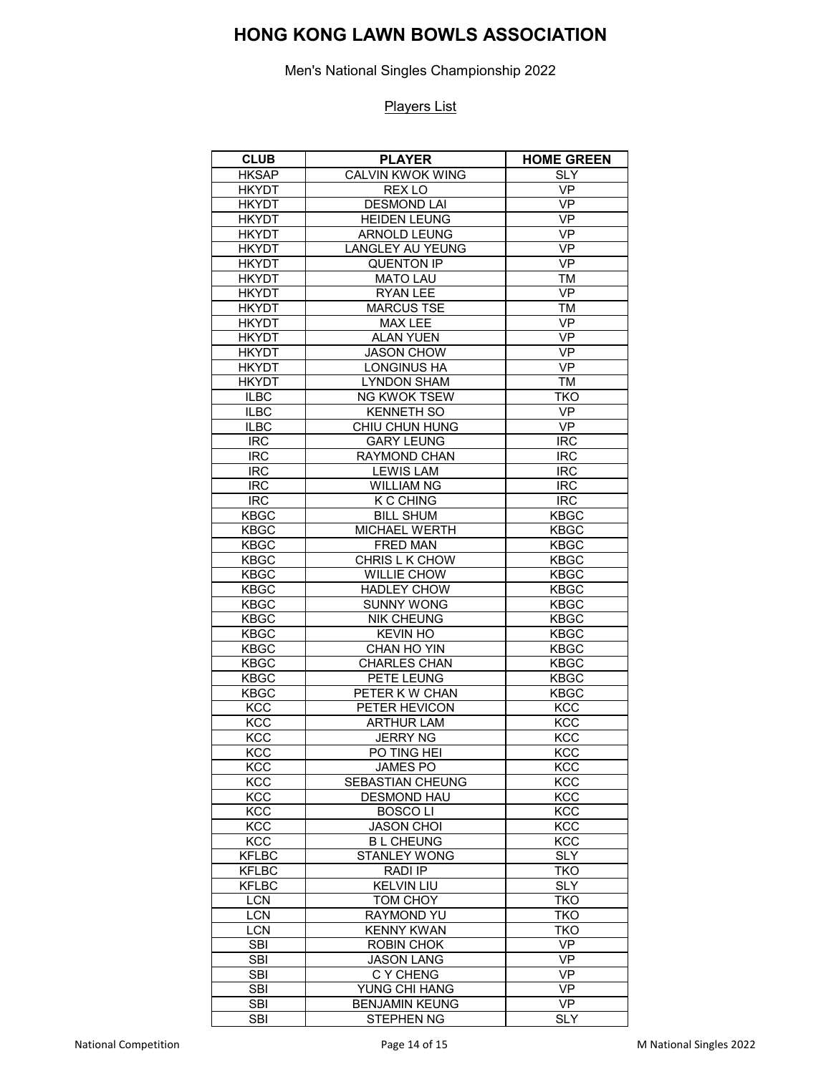Men's National Singles Championship 2022

| <b>CLUB</b>                | <b>PLAYER</b>                            | <b>HOME GREEN</b>          |
|----------------------------|------------------------------------------|----------------------------|
| <b>HKSAP</b>               | <b>CALVIN KWOK WING</b>                  | <b>SLY</b>                 |
| <b>HKYDT</b>               | REX LO                                   | <b>VP</b>                  |
| <b>HKYDT</b>               | <b>DESMOND LAI</b>                       | VP                         |
| <b>HKYDT</b>               | <b>HEIDEN LEUNG</b>                      | <b>VP</b>                  |
| <b>HKYDT</b>               | <b>ARNOLD LEUNG</b>                      | VP                         |
| <b>HKYDT</b>               | <b>LANGLEY AU YEUNG</b>                  | <b>VP</b>                  |
| <b>HKYDT</b>               | <b>QUENTON IP</b>                        | <b>VP</b>                  |
| <b>HKYDT</b>               | <b>MATO LAU</b>                          | <b>TM</b>                  |
| <b>HKYDT</b>               | <b>RYAN LEE</b>                          | <b>VP</b>                  |
| <b>HKYDT</b>               | <b>MARCUS TSE</b>                        | TM                         |
| <b>HKYDT</b>               | MAX LEE                                  | <b>VP</b>                  |
| <b>HKYDT</b>               | <b>ALAN YUEN</b>                         | VP                         |
| <b>HKYDT</b>               | <b>JASON CHOW</b>                        | $\overline{VP}$            |
| <b>HKYDT</b>               | <b>LONGINUS HA</b>                       | <b>VP</b>                  |
| <b>HKYDT</b>               | <b>LYNDON SHAM</b>                       | TM                         |
| <b>ILBC</b>                | <b>NG KWOK TSEW</b>                      | TKO                        |
| <b>ILBC</b>                | <b>KENNETH SO</b>                        | <b>VP</b>                  |
| <b>ILBC</b>                | CHIU CHUN HUNG                           | <b>VP</b>                  |
| <b>IRC</b>                 | <b>GARY LEUNG</b>                        | <b>IRC</b>                 |
| <b>IRC</b>                 | <b>RAYMOND CHAN</b>                      | <b>IRC</b>                 |
| <b>IRC</b>                 | <b>LEWIS LAM</b>                         | <b>IRC</b>                 |
| <b>IRC</b>                 | <b>WILLIAM NG</b>                        | <b>IRC</b>                 |
|                            | K C CHING                                |                            |
| <b>IRC</b><br><b>KBGC</b>  | <b>BILL SHUM</b>                         | <b>IRC</b><br><b>KBGC</b>  |
| <b>KBGC</b>                | MICHAEL WERTH                            |                            |
|                            | <b>FRED MAN</b>                          | <b>KBGC</b><br><b>KBGC</b> |
| <b>KBGC</b>                |                                          |                            |
| <b>KBGC</b>                | CHRIS L K CHOW                           | <b>KBGC</b>                |
| <b>KBGC</b>                | <b>WILLIE CHOW</b><br><b>HADLEY CHOW</b> | <b>KBGC</b>                |
| <b>KBGC</b>                | <b>SUNNY WONG</b>                        | <b>KBGC</b>                |
| <b>KBGC</b><br><b>KBGC</b> | <b>NIK CHEUNG</b>                        | <b>KBGC</b><br><b>KBGC</b> |
| <b>KBGC</b>                | <b>KEVIN HO</b>                          | <b>KBGC</b>                |
| <b>KBGC</b>                | CHAN HO YIN                              | <b>KBGC</b>                |
| <b>KBGC</b>                | <b>CHARLES CHAN</b>                      | <b>KBGC</b>                |
| <b>KBGC</b>                | PETE LEUNG                               | <b>KBGC</b>                |
| <b>KBGC</b>                | PETER K W CHAN                           | <b>KBGC</b>                |
| <b>KCC</b>                 | PETER HEVICON                            | <b>KCC</b>                 |
| KCC                        | <b>ARTHUR LAM</b>                        | <b>KCC</b>                 |
| KCC                        | <b>JERRY NG</b>                          | KCC                        |
| <b>KCC</b>                 | PO TING HEI                              | KCC                        |
| KCC                        | JAMES PO                                 | <b>KCC</b>                 |
| <b>KCC</b>                 | SEBASTIAN CHEUNG                         | <b>KCC</b>                 |
| <b>KCC</b>                 | <b>DESMOND HAU</b>                       | KCC                        |
| <b>KCC</b>                 | <b>BOSCOLI</b>                           | KCC                        |
| <b>KCC</b>                 | <b>JASON CHOI</b>                        | KCC                        |
| KCC                        | <b>BL CHEUNG</b>                         | KCC                        |
| <b>KFLBC</b>               | <b>STANLEY WONG</b>                      | <b>SLY</b>                 |
| <b>KFLBC</b>               | RADI IP                                  | <b>TKO</b>                 |
| <b>KFLBC</b>               | <b>KELVIN LIU</b>                        | <b>SLY</b>                 |
| <b>LCN</b>                 | TOM CHOY                                 | <b>TKO</b>                 |
| <b>LCN</b>                 | RAYMOND YU                               | <b>TKO</b>                 |
| <b>LCN</b>                 | <b>KENNY KWAN</b>                        | <b>TKO</b>                 |
| <b>SBI</b>                 | <b>ROBIN CHOK</b>                        | <b>VP</b>                  |
| <b>SBI</b>                 | <b>JASON LANG</b>                        | VP                         |
| <b>SBI</b>                 | C Y CHENG                                | <b>VP</b>                  |
| <b>SBI</b>                 | YUNG CHI HANG                            | <b>VP</b>                  |
| <b>SBI</b>                 | <b>BENJAMIN KEUNG</b>                    | <b>VP</b>                  |
| <b>SBI</b>                 | <b>STEPHEN NG</b>                        | <b>SLY</b>                 |